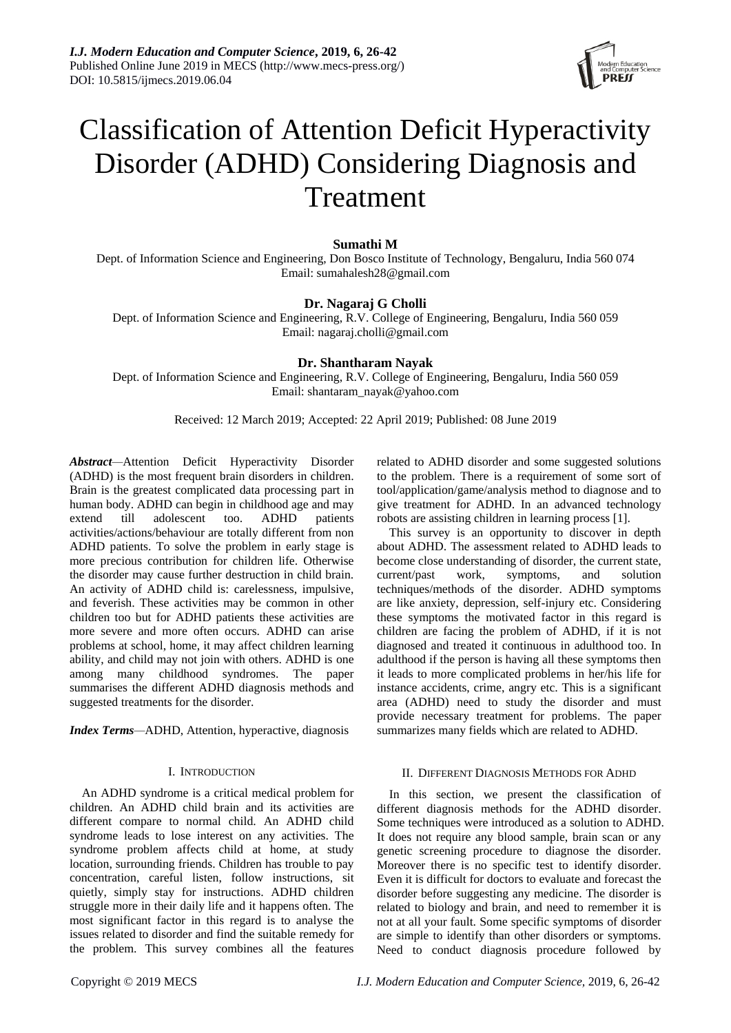

# Classification of Attention Deficit Hyperactivity Disorder (ADHD) Considering Diagnosis and Treatment

# **Sumathi M**

Dept. of Information Science and Engineering, Don Bosco Institute of Technology, Bengaluru, India 560 074 Email: [sumahalesh28@gmail.com](mailto:sumahalesh28@gmail.com)

# **Dr. Nagaraj G Cholli**

Dept. of Information Science and Engineering, R.V. College of Engineering, Bengaluru, India 560 059 Email: [nagaraj.cholli@gmail.com](mailto:nagaraj.cholli@gmail.com)

# **Dr. Shantharam Nayak**

Dept. of Information Science and Engineering, R.V. College of Engineering, Bengaluru, India 560 059 Email[: shantaram\\_nayak@yahoo.com](mailto:shantaram_nayak@yahoo.com)

Received: 12 March 2019; Accepted: 22 April 2019; Published: 08 June 2019

*Abstract—*Attention Deficit Hyperactivity Disorder (ADHD) is the most frequent brain disorders in children. Brain is the greatest complicated data processing part in human body. ADHD can begin in childhood age and may extend till adolescent too. ADHD patients activities/actions/behaviour are totally different from non ADHD patients. To solve the problem in early stage is more precious contribution for children life. Otherwise the disorder may cause further destruction in child brain. An activity of ADHD child is: carelessness, impulsive, and feverish. These activities may be common in other children too but for ADHD patients these activities are more severe and more often occurs. ADHD can arise problems at school, home, it may affect children learning ability, and child may not join with others. ADHD is one among many childhood syndromes. The paper summarises the different ADHD diagnosis methods and suggested treatments for the disorder.

*Index Terms—*ADHD, Attention, hyperactive, diagnosis

# I. INTRODUCTION

An ADHD syndrome is a critical medical problem for children. An ADHD child brain and its activities are different compare to normal child. An ADHD child syndrome leads to lose interest on any activities. The syndrome problem affects child at home, at study location, surrounding friends. Children has trouble to pay concentration, careful listen, follow instructions, sit quietly, simply stay for instructions. ADHD children struggle more in their daily life and it happens often. The most significant factor in this regard is to analyse the issues related to disorder and find the suitable remedy for the problem. This survey combines all the features related to ADHD disorder and some suggested solutions to the problem. There is a requirement of some sort of tool/application/game/analysis method to diagnose and to give treatment for ADHD. In an advanced technology robots are assisting children in learning process [1].

This survey is an opportunity to discover in depth about ADHD. The assessment related to ADHD leads to become close understanding of disorder, the current state, current/past work, symptoms, and solution techniques/methods of the disorder. ADHD symptoms are like anxiety, depression, self-injury etc. Considering these symptoms the motivated factor in this regard is children are facing the problem of ADHD, if it is not diagnosed and treated it continuous in adulthood too. In adulthood if the person is having all these symptoms then it leads to more complicated problems in her/his life for instance accidents, crime, angry etc. This is a significant area (ADHD) need to study the disorder and must provide necessary treatment for problems. The paper summarizes many fields which are related to ADHD.

## II. DIFFERENT DIAGNOSIS METHODS FOR ADHD

In this section, we present the classification of different diagnosis methods for the ADHD disorder. Some techniques were introduced as a solution to ADHD. It does not require any blood sample, brain scan or any genetic screening procedure to diagnose the disorder. Moreover there is no specific test to identify disorder. Even it is difficult for doctors to evaluate and forecast the disorder before suggesting any medicine. The disorder is related to biology and brain, and need to remember it is not at all your fault. Some specific symptoms of disorder are simple to identify than other disorders or symptoms. Need to conduct diagnosis procedure followed by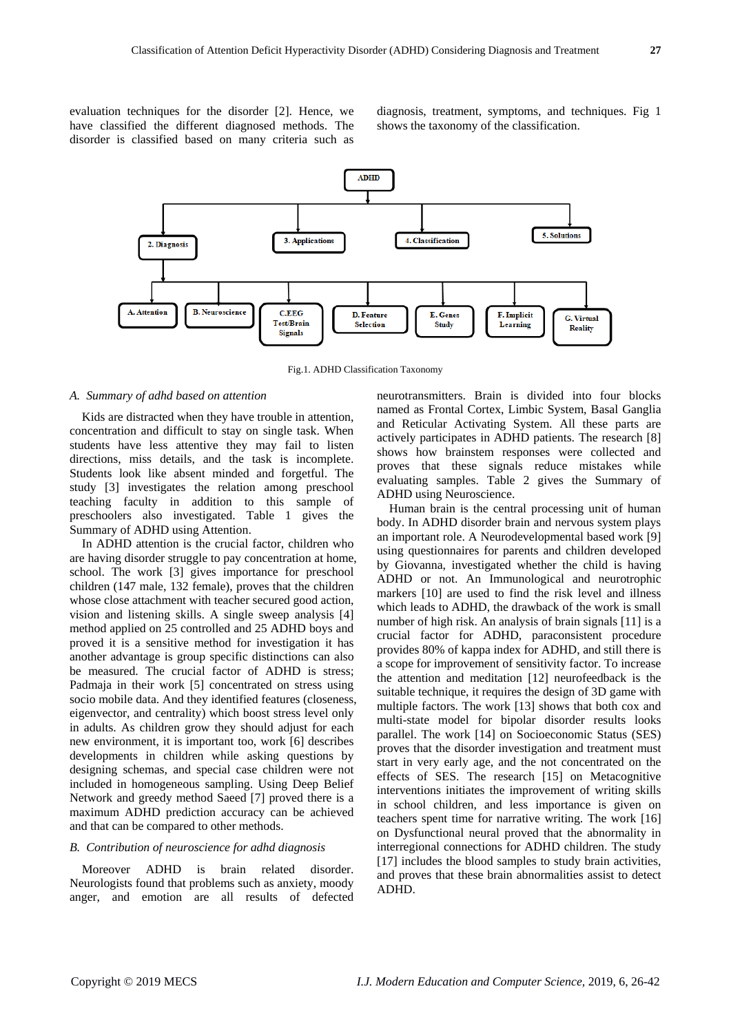evaluation techniques for the disorder [2]. Hence, we have classified the different diagnosed methods. The disorder is classified based on many criteria such as diagnosis, treatment, symptoms, and techniques. Fig 1 shows the taxonomy of the classification.



Fig.1. ADHD Classification Taxonomy

## *A. Summary of adhd based on attention*

Kids are distracted when they have trouble in attention, concentration and difficult to stay on single task. When students have less attentive they may fail to listen directions, miss details, and the task is incomplete. Students look like absent minded and forgetful. The study [3] investigates the relation among preschool teaching faculty in addition to this sample of preschoolers also investigated. Table 1 gives the Summary of ADHD using Attention.

In ADHD attention is the crucial factor, children who are having disorder struggle to pay concentration at home, school. The work [3] gives importance for preschool children (147 male, 132 female), proves that the children whose close attachment with teacher secured good action, vision and listening skills. A single sweep analysis [4] method applied on 25 controlled and 25 ADHD boys and proved it is a sensitive method for investigation it has another advantage is group specific distinctions can also be measured. The crucial factor of ADHD is stress; Padmaja in their work [5] concentrated on stress using socio mobile data. And they identified features (closeness, eigenvector, and centrality) which boost stress level only in adults. As children grow they should adjust for each new environment, it is important too, work [6] describes developments in children while asking questions by designing schemas, and special case children were not included in homogeneous sampling. Using Deep Belief Network and greedy method Saeed [7] proved there is a maximum ADHD prediction accuracy can be achieved and that can be compared to other methods.

#### *B. Contribution of neuroscience for adhd diagnosis*

Moreover ADHD is brain related disorder. Neurologists found that problems such as anxiety, moody anger, and emotion are all results of defected

neurotransmitters. Brain is divided into four blocks named as Frontal Cortex, Limbic System, Basal Ganglia and Reticular Activating System. All these parts are actively participates in ADHD patients. The research [8] shows how brainstem responses were collected and proves that these signals reduce mistakes while evaluating samples. Table 2 gives the Summary of ADHD using Neuroscience.

Human brain is the central processing unit of human body. In ADHD disorder brain and nervous system plays an important role. A Neurodevelopmental based work [9] using questionnaires for parents and children developed by Giovanna, investigated whether the child is having ADHD or not. An Immunological and neurotrophic markers [10] are used to find the risk level and illness which leads to ADHD, the drawback of the work is small number of high risk. An analysis of brain signals [11] is a crucial factor for ADHD, paraconsistent procedure provides 80% of kappa index for ADHD, and still there is a scope for improvement of sensitivity factor. To increase the attention and meditation [12] neurofeedback is the suitable technique, it requires the design of 3D game with multiple factors. The work [13] shows that both cox and multi-state model for bipolar disorder results looks parallel. The work [14] on Socioeconomic Status (SES) proves that the disorder investigation and treatment must start in very early age, and the not concentrated on the effects of SES. The research [15] on Metacognitive interventions initiates the improvement of writing skills in school children, and less importance is given on teachers spent time for narrative writing. The work [16] on Dysfunctional neural proved that the abnormality in interregional connections for ADHD children. The study [17] includes the blood samples to study brain activities, and proves that these brain abnormalities assist to detect ADHD.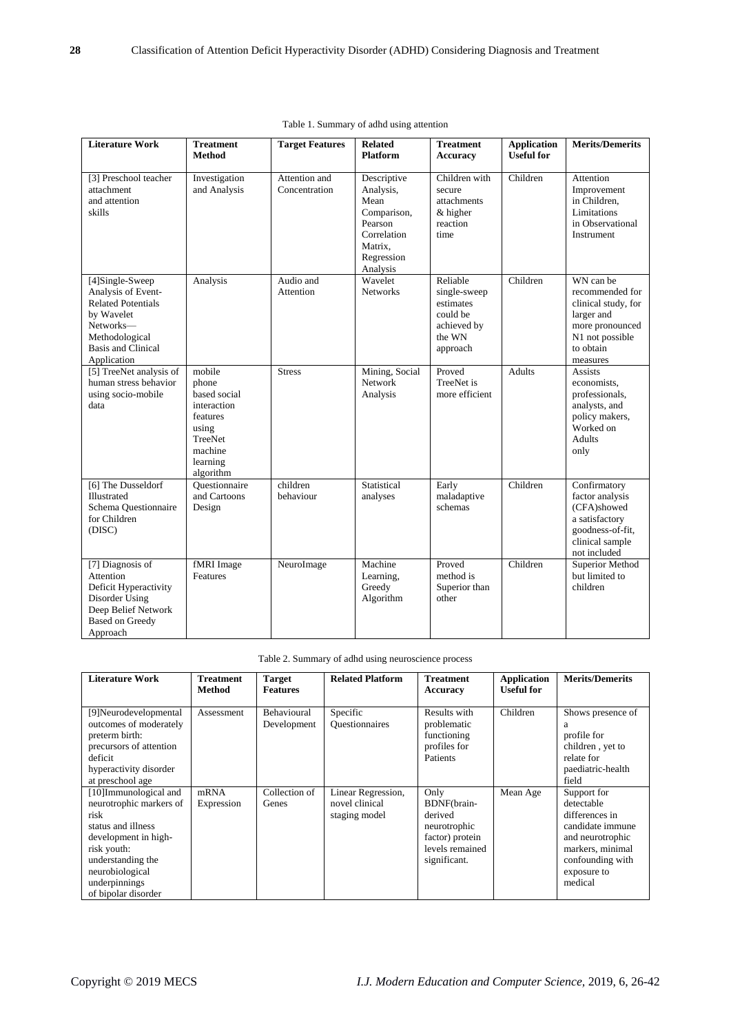| <b>Literature Work</b>                                                                                                                                      | <b>Treatment</b><br><b>Method</b>                                                                                  | <b>Target Features</b>         | <b>Related</b><br><b>Platform</b>                                                                              | <b>Treatment</b><br><b>Accuracy</b>                                                    | <b>Application</b><br><b>Useful for</b> | <b>Merits/Demerits</b>                                                                                                           |
|-------------------------------------------------------------------------------------------------------------------------------------------------------------|--------------------------------------------------------------------------------------------------------------------|--------------------------------|----------------------------------------------------------------------------------------------------------------|----------------------------------------------------------------------------------------|-----------------------------------------|----------------------------------------------------------------------------------------------------------------------------------|
| [3] Preschool teacher<br>attachment<br>and attention<br>skills                                                                                              | Investigation<br>and Analysis                                                                                      | Attention and<br>Concentration | Descriptive<br>Analysis,<br>Mean<br>Comparison,<br>Pearson<br>Correlation<br>Matrix,<br>Regression<br>Analysis | Children with<br>secure<br>attachments<br>$&$ higher<br>reaction<br>time               | Children                                | Attention<br>Improvement<br>in Children,<br>Limitations<br>in Observational<br>Instrument                                        |
| [4]Single-Sweep<br>Analysis of Event-<br><b>Related Potentials</b><br>by Wavelet<br>Networks-<br>Methodological<br><b>Basis and Clinical</b><br>Application | Analysis                                                                                                           | Audio and<br>Attention         | Wavelet<br><b>Networks</b>                                                                                     | Reliable<br>single-sweep<br>estimates<br>could be<br>achieved by<br>the WN<br>approach | Children                                | WN can be<br>recommended for<br>clinical study, for<br>larger and<br>more pronounced<br>N1 not possible<br>to obtain<br>measures |
| [5] TreeNet analysis of<br>human stress behavior<br>using socio-mobile<br>data                                                                              | mobile<br>phone<br>based social<br>interaction<br>features<br>using<br>TreeNet<br>machine<br>learning<br>algorithm | <b>Stress</b>                  | Mining, Social<br>Network<br>Analysis                                                                          | Proved<br>TreeNet is<br>more efficient                                                 | <b>Adults</b>                           | <b>Assists</b><br>economists,<br>professionals,<br>analysts, and<br>policy makers,<br>Worked on<br>Adults<br>only                |
| [6] The Dusseldorf<br>Illustrated<br>Schema Questionnaire<br>for Children<br>(DISC)                                                                         | Ouestionnaire<br>and Cartoons<br>Design                                                                            | children<br>behaviour          | Statistical<br>analyses                                                                                        | Early<br>maladaptive<br>schemas                                                        | Children                                | Confirmatory<br>factor analysis<br>(CFA)showed<br>a satisfactory<br>goodness-of-fit,<br>clinical sample<br>not included          |
| [7] Diagnosis of<br>Attention<br>Deficit Hyperactivity<br>Disorder Using<br>Deep Belief Network<br><b>Based on Greedy</b><br>Approach                       | fMRI Image<br>Features                                                                                             | NeuroImage                     | Machine<br>Learning,<br>Greedy<br>Algorithm                                                                    | Proved<br>method is<br>Superior than<br>other                                          | Children                                | Superior Method<br>but limited to<br>children                                                                                    |

| Table 1. Summary of adhd using attention |  |  |  |
|------------------------------------------|--|--|--|
|------------------------------------------|--|--|--|

|  |  | Table 2. Summary of adhd using neuroscience process |  |
|--|--|-----------------------------------------------------|--|
|  |  |                                                     |  |

| <b>Literature Work</b>                                                                                                                                                                                | <b>Treatment</b><br>Method | <b>Target</b><br><b>Features</b> | <b>Related Platform</b>                               | <b>Treatment</b><br>Accuracy                                                                         | <b>Application</b><br><b>Useful for</b> | <b>Merits/Demerits</b>                                                                                                                                |
|-------------------------------------------------------------------------------------------------------------------------------------------------------------------------------------------------------|----------------------------|----------------------------------|-------------------------------------------------------|------------------------------------------------------------------------------------------------------|-----------------------------------------|-------------------------------------------------------------------------------------------------------------------------------------------------------|
| [9]Neurodevelopmental<br>outcomes of moderately<br>preterm birth:<br>precursors of attention<br>deficit<br>hyperactivity disorder<br>at preschool age                                                 | Assessment                 | Behavioural<br>Development       | Specific<br><b>Questionnaires</b>                     | Results with<br>problematic<br>functioning<br>profiles for<br>Patients                               | Children                                | Shows presence of<br>a<br>profile for<br>children, yet to<br>relate for<br>paediatric-health<br>field                                                 |
| [10]Immunological and<br>neurotrophic markers of<br>risk<br>status and illness<br>development in high-<br>risk youth:<br>understanding the<br>neurobiological<br>underpinnings<br>of bipolar disorder | mRNA<br>Expression         | Collection of<br>Genes           | Linear Regression,<br>novel clinical<br>staging model | Only<br>BDNF(brain-<br>derived<br>neurotrophic<br>factor) protein<br>levels remained<br>significant. | Mean Age                                | Support for<br>detectable<br>differences in<br>candidate immune<br>and neurotrophic<br>markers, minimal<br>confounding with<br>exposure to<br>medical |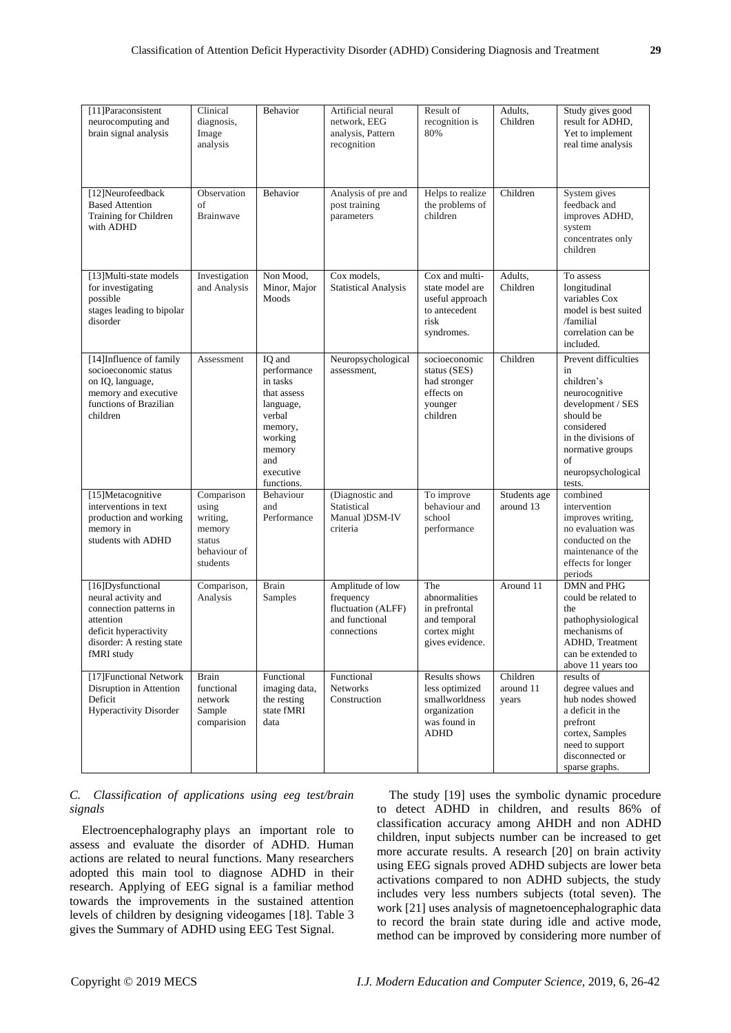| Clinical<br>diagnosis,<br>Image<br>analysis                         | Behavior                                                                                                                                  | Artificial neural<br>network, EEG<br>analysis, Pattern<br>recognition | Result of<br>recognition is<br>80%                                                          | Adults,<br>Children       | Study gives good<br>result for ADHD,<br>Yet to implement<br>real time analysis                                                                                                              |
|---------------------------------------------------------------------|-------------------------------------------------------------------------------------------------------------------------------------------|-----------------------------------------------------------------------|---------------------------------------------------------------------------------------------|---------------------------|---------------------------------------------------------------------------------------------------------------------------------------------------------------------------------------------|
| Observation<br>οf<br><b>Brainwave</b>                               | Behavior                                                                                                                                  | Analysis of pre and<br>post training<br>parameters                    | Helps to realize<br>the problems of<br>children                                             | Children                  | System gives<br>feedback and<br>improves ADHD,<br>system<br>concentrates only<br>children                                                                                                   |
| Investigation<br>and Analysis                                       | Non Mood,<br>Minor, Major<br>Moods                                                                                                        | Cox models,<br><b>Statistical Analysis</b>                            | Cox and multi-<br>state model are<br>useful approach<br>to antecedent<br>risk<br>syndromes. | Adults,<br>Children       | To assess<br>longitudinal<br>variables Cox<br>model is best suited<br>/familial<br>correlation can be<br>included.                                                                          |
| Assessment                                                          | IO and<br>performance<br>in tasks<br>that assess<br>language,<br>verbal<br>memory,<br>working<br>memory<br>and<br>executive<br>functions. | Neuropsychological<br>assessment,                                     | socioeconomic<br>status (SES)<br>had stronger<br>effects on<br>younger<br>children          | Children                  | Prevent difficulties<br>in<br>children's<br>neurocognitive<br>development / SES<br>should be<br>considered<br>in the divisions of<br>normative groups<br>of<br>neuropsychological<br>tests. |
| Comparison<br>using<br>writing,<br>memory<br>status<br>hehaviour of | Behaviour<br>and<br>Performance                                                                                                           | (Diagnostic and<br>Statistical<br>Manual )DSM-IV<br>criteria          | To improve<br>behaviour and<br>school<br>performance                                        | Students age<br>around 13 | combined<br>intervention<br>improves writing,<br>no evaluation was<br>conducted on the<br>maintenance of the                                                                                |

| [15]Metacognitive<br>interventions in text<br>production and working<br>memory in<br>students with ADHD                                             | Comparison<br>using<br>writing,<br>memory<br>status<br>behaviour of<br>students | <b>Behaviour</b><br>and<br>Performance                           | (Diagnostic and<br>Statistical<br>Manual )DSM-IV<br>criteria                         | To improve<br>behaviour and<br>school<br>performance                                             | Students age<br>around 13      | combined<br>intervention<br>improves writing,<br>no evaluation was<br>conducted on the<br>maintenance of the<br>effects for longer<br>periods                  |
|-----------------------------------------------------------------------------------------------------------------------------------------------------|---------------------------------------------------------------------------------|------------------------------------------------------------------|--------------------------------------------------------------------------------------|--------------------------------------------------------------------------------------------------|--------------------------------|----------------------------------------------------------------------------------------------------------------------------------------------------------------|
| [16]Dysfunctional<br>neural activity and<br>connection patterns in<br>attention<br>deficit hyperactivity<br>disorder: A resting state<br>fMRI study | Comparison,<br>Analysis                                                         | <b>Brain</b><br>Samples                                          | Amplitude of low<br>frequency<br>fluctuation (ALFF)<br>and functional<br>connections | The<br>abnormalities<br>in prefrontal<br>and temporal<br>cortex might<br>gives evidence.         | Around 11                      | DMN and PHG<br>could be related to<br>the<br>pathophysiological<br>mechanisms of<br>ADHD, Treatment<br>can be extended to<br>above 11 years too                |
| [17] Functional Network<br>Disruption in Attention<br>Deficit<br><b>Hyperactivity Disorder</b>                                                      | <b>Brain</b><br>functional<br>network<br>Sample<br>comparision                  | Functional<br>imaging data,<br>the resting<br>state fMRI<br>data | Functional<br><b>Networks</b><br>Construction                                        | Results shows<br>less optimized<br>smallworldness<br>organization<br>was found in<br><b>ADHD</b> | Children<br>around 11<br>years | results of<br>degree values and<br>hub nodes showed<br>a deficit in the<br>prefront<br>cortex, Samples<br>need to support<br>disconnected or<br>sparse graphs. |

*C. Classification of applications using eeg test/brain signals*

Electroencephalography plays an important role to assess and evaluate the disorder of ADHD. Human actions are related to neural functions. Many researchers adopted this main tool to diagnose ADHD in their research. Applying of EEG signal is a familiar method towards the improvements in the sustained attention levels of children by designing videogames [18]. Table 3 gives the Summary of ADHD using EEG Test Signal.

The study [19] uses the symbolic dynamic procedure to detect ADHD in children, and results 86% of classification accuracy among AHDH and non ADHD children, input subjects number can be increased to get more accurate results. A research [20] on brain activity using EEG signals proved ADHD subjects are lower beta activations compared to non ADHD subjects, the study includes very less numbers subjects (total seven). The work [21] uses analysis of magnetoencephalographic data to record the brain state during idle and active mode, method can be improved by considering more number of

[11]Paraconsistent neurocomputing and brain signal analysis

[12]Neurofeedback Based Attention Training for Children with ADHD

[13]Multi-state models for investigating possible

stages leading to bipolar

[14]Influence of family socioeconomic status on IQ, language, memory and executive functions of Brazilian

disorder

children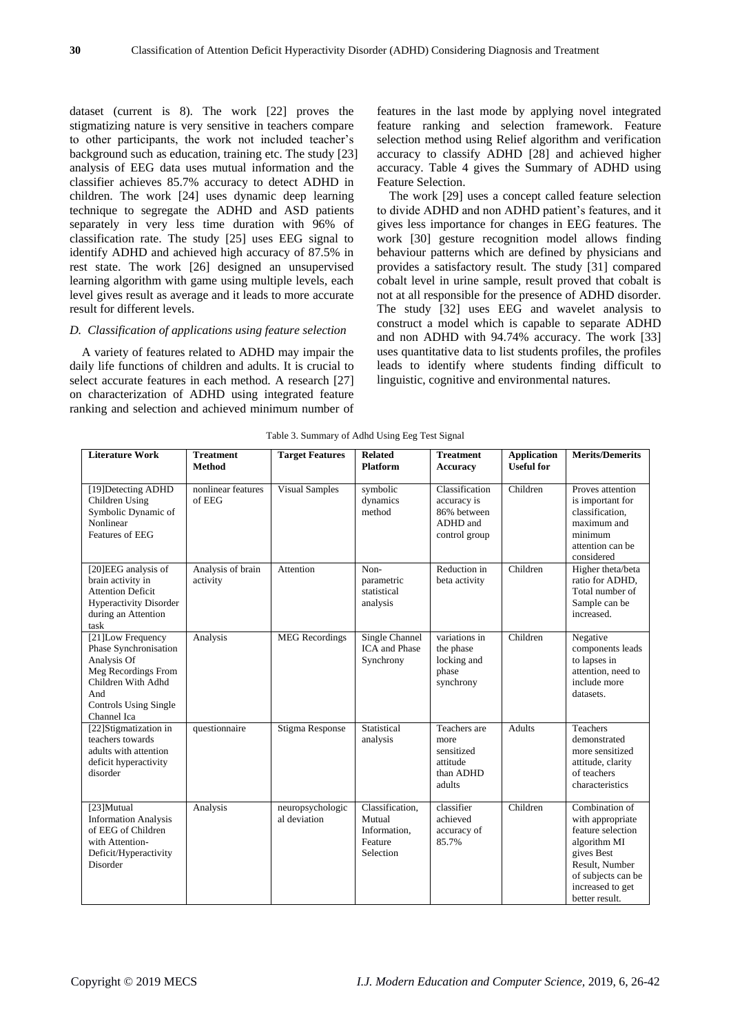dataset (current is 8). The work [22] proves the stigmatizing nature is very sensitive in teachers compare to other participants, the work not included teacher's background such as education, training etc. The study [23] analysis of EEG data uses mutual information and the classifier achieves 85.7% accuracy to detect ADHD in children. The work [24] uses dynamic deep learning technique to segregate the ADHD and ASD patients separately in very less time duration with 96% of classification rate. The study [25] uses EEG signal to identify ADHD and achieved high accuracy of 87.5% in rest state. The work [26] designed an unsupervised learning algorithm with game using multiple levels, each level gives result as average and it leads to more accurate result for different levels.

# *D. Classification of applications using feature selection*

A variety of features related to ADHD may impair the daily life functions of children and adults. It is crucial to select accurate features in each method. A research [27] on characterization of ADHD using integrated feature ranking and selection and achieved minimum number of

features in the last mode by applying novel integrated feature ranking and selection framework. Feature selection method using Relief algorithm and verification accuracy to classify ADHD [28] and achieved higher accuracy. Table 4 gives the Summary of ADHD using Feature Selection.

The work [29] uses a concept called feature selection to divide ADHD and non ADHD patient's features, and it gives less importance for changes in EEG features. The work [30] gesture recognition model allows finding behaviour patterns which are defined by physicians and provides a satisfactory result. The study [31] compared cobalt level in urine sample, result proved that cobalt is not at all responsible for the presence of ADHD disorder. The study [32] uses EEG and wavelet analysis to construct a model which is capable to separate ADHD and non ADHD with 94.74% accuracy. The work [33] uses quantitative data to list students profiles, the profiles leads to identify where students finding difficult to linguistic, cognitive and environmental natures.

| <b>Literature Work</b>                                                                                                                                        | <b>Treatment</b><br><b>Method</b> | <b>Target Features</b>           | <b>Related</b><br><b>Platform</b>                                 | <b>Treatment</b><br><b>Accuracy</b>                                       | <b>Application</b><br><b>Useful for</b> | <b>Merits/Demerits</b>                                                                                                                                              |
|---------------------------------------------------------------------------------------------------------------------------------------------------------------|-----------------------------------|----------------------------------|-------------------------------------------------------------------|---------------------------------------------------------------------------|-----------------------------------------|---------------------------------------------------------------------------------------------------------------------------------------------------------------------|
| [19] Detecting ADHD<br>Children Using<br>Symbolic Dynamic of<br>Nonlinear<br>Features of EEG                                                                  | nonlinear features<br>of EEG      | <b>Visual Samples</b>            | symbolic<br>dynamics<br>method                                    | Classification<br>accuracy is<br>86% between<br>ADHD and<br>control group | Children                                | Proves attention<br>is important for<br>classification,<br>maximum and<br>minimum<br>attention can be<br>considered                                                 |
| [20]EEG analysis of<br>brain activity in<br><b>Attention Deficit</b><br><b>Hyperactivity Disorder</b><br>during an Attention<br>task                          | Analysis of brain<br>activity     | Attention                        | Non-<br>parametric<br>statistical<br>analysis                     | Reduction in<br>beta activity                                             | Children                                | Higher theta/beta<br>ratio for ADHD.<br>Total number of<br>Sample can be<br>increased.                                                                              |
| [21] Low Frequency<br>Phase Synchronisation<br>Analysis Of<br>Meg Recordings From<br>Children With Adhd<br>And<br><b>Controls Using Single</b><br>Channel Ica | Analysis                          | <b>MEG</b> Recordings            | Single Channel<br><b>ICA</b> and Phase<br>Synchrony               | variations in<br>the phase<br>locking and<br>phase<br>synchrony           | Children                                | Negative<br>components leads<br>to lapses in<br>attention, need to<br>include more<br>datasets.                                                                     |
| [22] Stigmatization in<br>teachers towards<br>adults with attention<br>deficit hyperactivity<br>disorder                                                      | questionnaire                     | Stigma Response                  | Statistical<br>analysis                                           | Teachers are<br>more<br>sensitized<br>attitude<br>than ADHD<br>adults     | <b>Adults</b>                           | Teachers<br>demonstrated<br>more sensitized<br>attitude, clarity<br>of teachers<br>characteristics                                                                  |
| [23]Mutual<br><b>Information Analysis</b><br>of EEG of Children<br>with Attention-<br>Deficit/Hyperactivity<br>Disorder                                       | Analysis                          | neuropsychologic<br>al deviation | Classification,<br>Mutual<br>Information.<br>Feature<br>Selection | classifier<br>achieved<br>accuracy of<br>85.7%                            | Children                                | Combination of<br>with appropriate<br>feature selection<br>algorithm MI<br>gives Best<br>Result, Number<br>of subjects can be<br>increased to get<br>better result. |

Table 3. Summary of Adhd Using Eeg Test Signal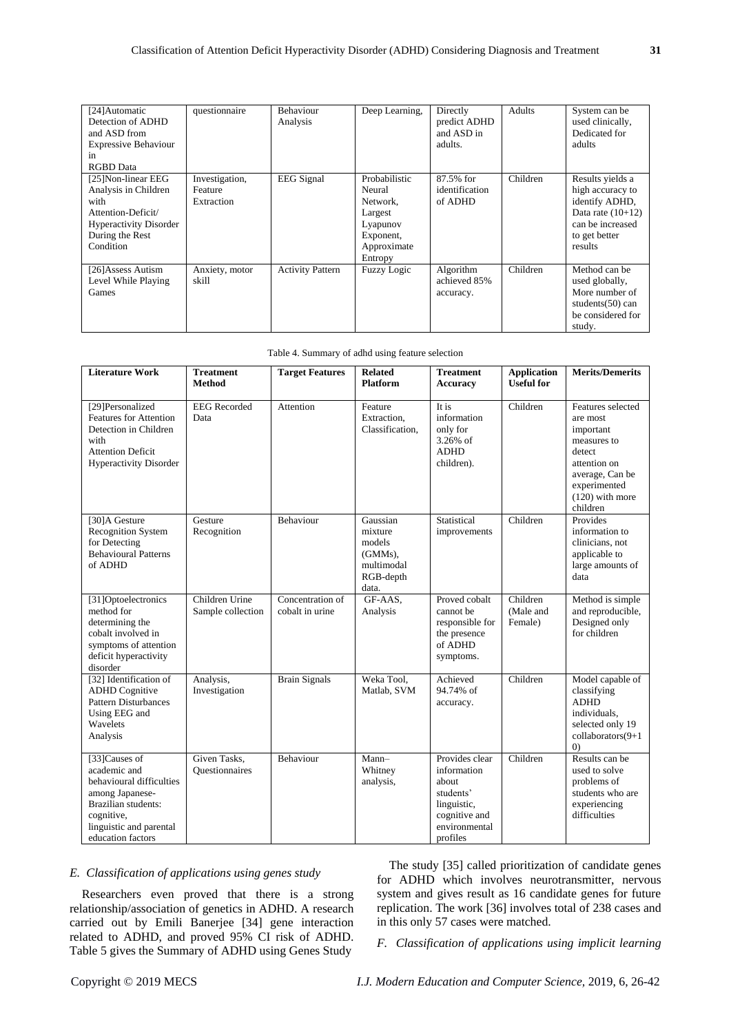| [24] Automatic<br>Detection of ADHD<br>and ASD from<br><b>Expressive Behaviour</b><br>in<br><b>RGBD</b> Data                              | questionnaire                           | Behaviour<br>Analysis   | Deep Learning,                                                                                    | Directly<br>predict ADHD<br>and ASD in<br>adults. | Adults   | System can be<br>used clinically,<br>Dedicated for<br>adults                                                                  |
|-------------------------------------------------------------------------------------------------------------------------------------------|-----------------------------------------|-------------------------|---------------------------------------------------------------------------------------------------|---------------------------------------------------|----------|-------------------------------------------------------------------------------------------------------------------------------|
| [25]Non-linear EEG<br>Analysis in Children<br>with<br>Attention-Deficit/<br><b>Hyperactivity Disorder</b><br>During the Rest<br>Condition | Investigation,<br>Feature<br>Extraction | <b>EEG</b> Signal       | Probabilistic<br>Neural<br>Network.<br>Largest<br>Lyapunov<br>Exponent,<br>Approximate<br>Entropy | 87.5% for<br>identification<br>of ADHD            | Children | Results yields a<br>high accuracy to<br>identify ADHD,<br>Data rate $(10+12)$<br>can be increased<br>to get better<br>results |
| [26]Assess Autism<br>Level While Playing<br>Games                                                                                         | Anxiety, motor<br>skill                 | <b>Activity Pattern</b> | <b>Fuzzy Logic</b>                                                                                | Algorithm<br>achieved 85%<br>accuracy.            | Children | Method can be<br>used globally,<br>More number of<br>students $(50)$ can<br>be considered for<br>study.                       |

|  | Table 4. Summary of adhd using feature selection |  |  |  |  |  |
|--|--------------------------------------------------|--|--|--|--|--|
|--|--------------------------------------------------|--|--|--|--|--|

| <b>Literature Work</b>                                                                                                                                            | <b>Treatment</b><br><b>Method</b>   | <b>Target Features</b>              | <b>Related</b><br><b>Platform</b>                                               | <b>Treatment</b><br><b>Accuracy</b>                                                                              | <b>Application</b><br><b>Useful for</b> | <b>Merits/Demerits</b>                                                                                                                                  |
|-------------------------------------------------------------------------------------------------------------------------------------------------------------------|-------------------------------------|-------------------------------------|---------------------------------------------------------------------------------|------------------------------------------------------------------------------------------------------------------|-----------------------------------------|---------------------------------------------------------------------------------------------------------------------------------------------------------|
| [29] Personalized<br><b>Features for Attention</b><br>Detection in Children<br>with<br><b>Attention Deficit</b><br><b>Hyperactivity Disorder</b>                  | <b>EEG</b> Recorded<br>Data         | Attention                           | Feature<br>Extraction.<br>Classification.                                       | It is<br>information<br>only for<br>3.26% of<br><b>ADHD</b><br>children).                                        | Children                                | Features selected<br>are most<br>important<br>measures to<br>detect<br>attention on<br>average, Can be<br>experimented<br>$(120)$ with more<br>children |
| [30]A Gesture<br><b>Recognition System</b><br>for Detecting<br><b>Behavioural Patterns</b><br>of ADHD                                                             | Gesture<br>Recognition              | Behaviour                           | Gaussian<br>mixture<br>models<br>$(GMMs)$ ,<br>multimodal<br>RGB-depth<br>data. | Statistical<br>improvements                                                                                      | Children                                | Provides<br>information to<br>clinicians, not<br>applicable to<br>large amounts of<br>data                                                              |
| [31]Optoelectronics<br>method for<br>determining the<br>cobalt involved in<br>symptoms of attention<br>deficit hyperactivity<br>disorder                          | Children Urine<br>Sample collection | Concentration of<br>cobalt in urine | GF-AAS.<br>Analysis                                                             | Proved cobalt<br>cannot be<br>responsible for<br>the presence<br>of ADHD<br>symptoms.                            | Children<br>(Male and<br>Female)        | Method is simple<br>and reproducible,<br>Designed only<br>for children                                                                                  |
| [32] Identification of<br><b>ADHD</b> Cognitive<br><b>Pattern Disturbances</b><br>Using EEG and<br>Wavelets<br>Analysis                                           | Analysis,<br>Investigation          | <b>Brain Signals</b>                | Weka Tool,<br>Matlab, SVM                                                       | Achieved<br>94.74% of<br>accuracy.                                                                               | Children                                | Model capable of<br>classifying<br><b>ADHD</b><br>individuals,<br>selected only 19<br>collaborators(9+1<br>(0)                                          |
| [33]Causes of<br>academic and<br>behavioural difficulties<br>among Japanese-<br>Brazilian students:<br>cognitive,<br>linguistic and parental<br>education factors | Given Tasks,<br>Questionnaires      | Behaviour                           | Mann-<br>Whitney<br>analysis,                                                   | Provides clear<br>information<br>about<br>students'<br>linguistic,<br>cognitive and<br>environmental<br>profiles | Children                                | Results can be<br>used to solve<br>problems of<br>students who are<br>experiencing<br>difficulties                                                      |

# *E. Classification of applications using genes study*

Researchers even proved that there is a strong relationship/association of genetics in ADHD. A research carried out by Emili Banerjee [34] gene interaction related to ADHD, and proved 95% CI risk of ADHD. Table 5 gives the Summary of ADHD using Genes Study

The study [35] called prioritization of candidate genes for ADHD which involves neurotransmitter, nervous system and gives result as 16 candidate genes for future replication. The work [36] involves total of 238 cases and in this only 57 cases were matched.

*F. Classification of applications using implicit learning*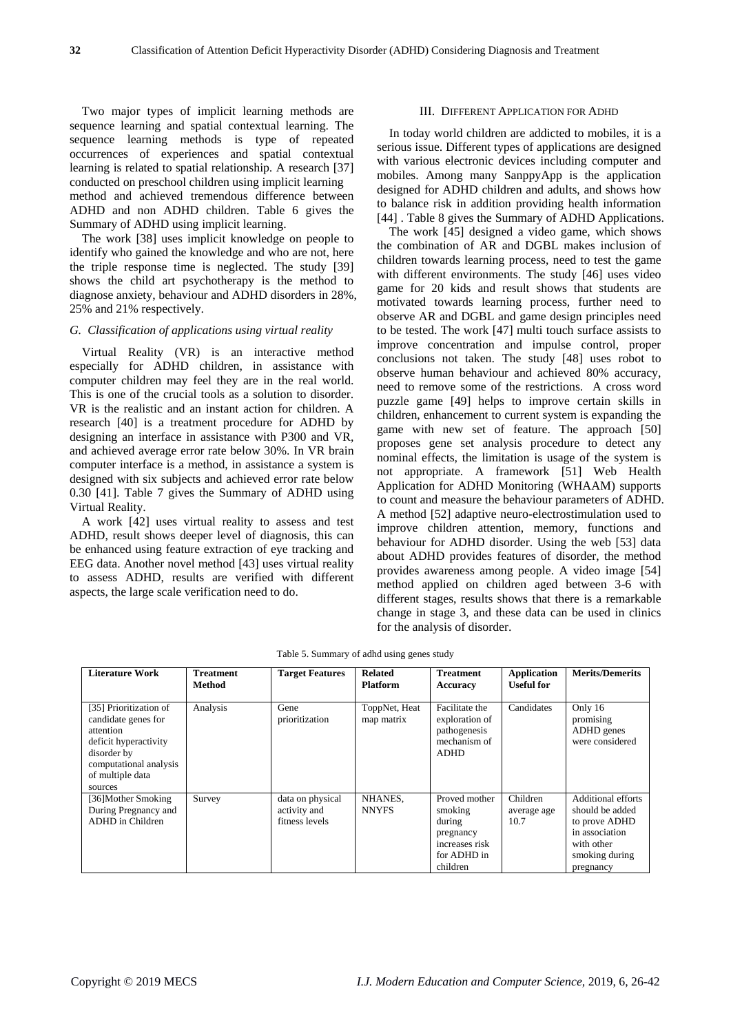Two major types of implicit learning methods are sequence learning and spatial contextual learning. The sequence learning methods is type of repeated occurrences of experiences and spatial contextual learning is related to spatial relationship. A research [37] conducted on preschool children using implicit learning method and achieved tremendous difference between ADHD and non ADHD children. Table 6 gives the Summary of ADHD using implicit learning.

The work [38] uses implicit knowledge on people to identify who gained the knowledge and who are not, here the triple response time is neglected. The study [39] shows the child art psychotherapy is the method to diagnose anxiety, behaviour and ADHD disorders in 28%, 25% and 21% respectively.

## *G. Classification of applications using virtual reality*

Virtual Reality (VR) is an interactive method especially for ADHD children, in assistance with computer children may feel they are in the real world. This is one of the crucial tools as a solution to disorder. VR is the realistic and an instant action for children. A research [40] is a treatment procedure for ADHD by designing an interface in assistance with P300 and VR, and achieved average error rate below 30%. In VR brain computer interface is a method, in assistance a system is designed with six subjects and achieved error rate below 0.30 [41]. Table 7 gives the Summary of ADHD using Virtual Reality.

A work [42] uses virtual reality to assess and test ADHD, result shows deeper level of diagnosis, this can be enhanced using feature extraction of eye tracking and EEG data. Another novel method [43] uses virtual reality to assess ADHD, results are verified with different aspects, the large scale verification need to do.

#### III. DIFFERENT APPLICATION FOR ADHD

In today world children are addicted to mobiles, it is a serious issue. Different types of applications are designed with various electronic devices including computer and mobiles. Among many SanppyApp is the application designed for ADHD children and adults, and shows how to balance risk in addition providing health information [44] . Table 8 gives the Summary of ADHD Applications.

The work [45] designed a video game, which shows the combination of AR and DGBL makes inclusion of children towards learning process, need to test the game with different environments. The study [46] uses video game for 20 kids and result shows that students are motivated towards learning process, further need to observe AR and DGBL and game design principles need to be tested. The work [47] multi touch surface assists to improve concentration and impulse control, proper conclusions not taken. The study [48] uses robot to observe human behaviour and achieved 80% accuracy, need to remove some of the restrictions. A cross word puzzle game [49] helps to improve certain skills in children, enhancement to current system is expanding the game with new set of feature. The approach [50] proposes gene set analysis procedure to detect any nominal effects, the limitation is usage of the system is not appropriate. A framework [51] Web Health Application for ADHD Monitoring (WHAAM) supports to count and measure the behaviour parameters of ADHD. A method [52] adaptive neuro-electrostimulation used to improve children attention, memory, functions and behaviour for ADHD disorder. Using the web [53] data about ADHD provides features of disorder, the method provides awareness among people. A video image [54] method applied on children aged between 3-6 with different stages, results shows that there is a remarkable change in stage 3, and these data can be used in clinics for the analysis of disorder.

| <b>Literature Work</b>                                                                                                                                      | <b>Treatment</b><br>Method | <b>Target Features</b>                             | <b>Related</b><br><b>Platform</b> | <b>Treatment</b><br>Accuracy                                                                 | <b>Application</b><br><b>Useful for</b> | <b>Merits/Demerits</b>                                                                                                       |
|-------------------------------------------------------------------------------------------------------------------------------------------------------------|----------------------------|----------------------------------------------------|-----------------------------------|----------------------------------------------------------------------------------------------|-----------------------------------------|------------------------------------------------------------------------------------------------------------------------------|
| [35] Prioritization of<br>candidate genes for<br>attention<br>deficit hyperactivity<br>disorder by<br>computational analysis<br>of multiple data<br>sources | Analysis                   | Gene<br>prioritization                             | ToppNet, Heat<br>map matrix       | Facilitate the<br>exploration of<br>pathogenesis<br>mechanism of<br>ADHD                     | Candidates                              | Only 16<br>promising<br>ADHD genes<br>were considered                                                                        |
| [36] Mother Smoking<br>During Pregnancy and<br>ADHD in Children                                                                                             | Survey                     | data on physical<br>activity and<br>fitness levels | NHANES,<br><b>NNYFS</b>           | Proved mother<br>smoking<br>during<br>pregnancy<br>increases risk<br>for ADHD in<br>children | Children<br>average age<br>10.7         | <b>Additional efforts</b><br>should be added<br>to prove ADHD<br>in association<br>with other<br>smoking during<br>pregnancy |

Table 5. Summary of adhd using genes study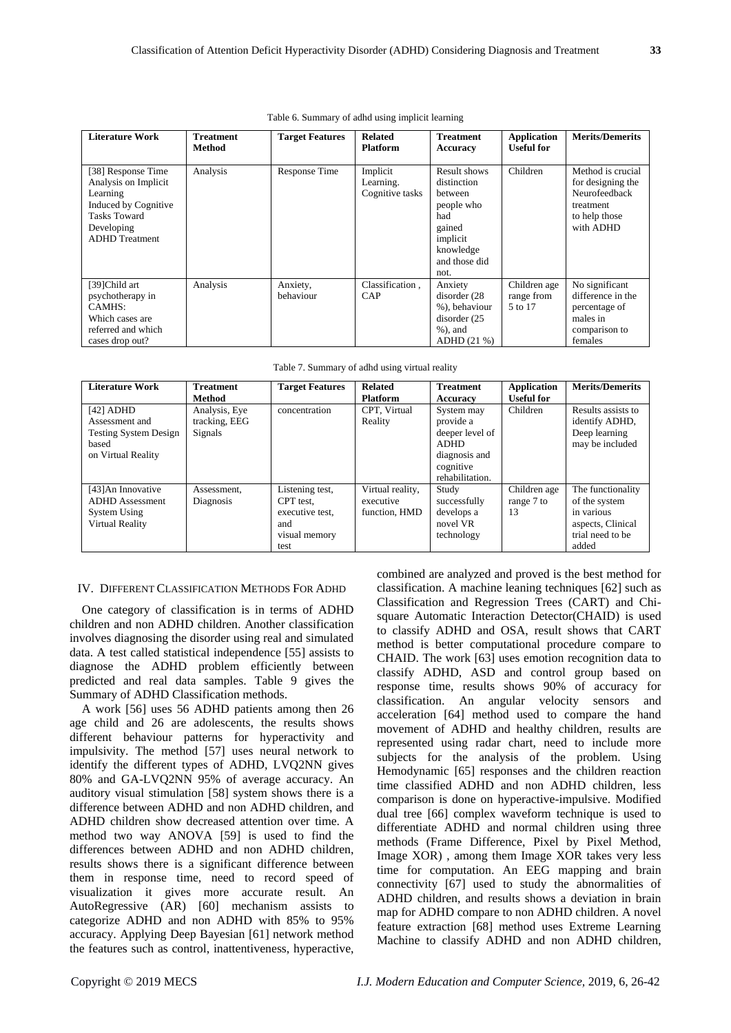#### Table 6. Summary of adhd using implicit learning

| <b>Literature Work</b>                                                                                                                       | <b>Treatment</b><br>Method | <b>Target Features</b> | <b>Related</b><br><b>Platform</b>        | <b>Treatment</b><br>Accuracy                                                                                            | <b>Application</b><br><b>Useful for</b> | <b>Merits/Demerits</b>                                                                             |
|----------------------------------------------------------------------------------------------------------------------------------------------|----------------------------|------------------------|------------------------------------------|-------------------------------------------------------------------------------------------------------------------------|-----------------------------------------|----------------------------------------------------------------------------------------------------|
| [38] Response Time<br>Analysis on Implicit<br>Learning<br>Induced by Cognitive<br><b>Tasks Toward</b><br>Developing<br><b>ADHD</b> Treatment | Analysis                   | Response Time          | Implicit<br>Learning.<br>Cognitive tasks | Result shows<br>distinction<br>hetween<br>people who<br>had<br>gained<br>implicit<br>knowledge<br>and those did<br>not. | Children                                | Method is crucial<br>for designing the<br>Neurofeedback<br>treatment<br>to help those<br>with ADHD |
| [39]Child art<br>psychotherapy in<br>CAMHS:<br>Which cases are<br>referred and which<br>cases drop out?                                      | Analysis                   | Anxiety,<br>behaviour  | Classification,<br>CAP                   | Anxiety<br>disorder (28)<br>%), behaviour<br>disorder (25<br>$%$ ), and<br>ADHD (21 %)                                  | Children age<br>range from<br>5 to 17   | No significant<br>difference in the<br>percentage of<br>males in<br>comparison to<br>females       |

| <b>Literature Work</b>                                                                       | <b>Treatment</b><br>Method                | <b>Target Features</b>                                                          | <b>Related</b><br><b>Platform</b>              | <b>Treatment</b><br><b>Accuracy</b>                                                                        | Application<br><b>Useful for</b> | <b>Merits/Demerits</b>                                                                             |
|----------------------------------------------------------------------------------------------|-------------------------------------------|---------------------------------------------------------------------------------|------------------------------------------------|------------------------------------------------------------------------------------------------------------|----------------------------------|----------------------------------------------------------------------------------------------------|
| $[42]$ ADHD<br>Assessment and<br><b>Testing System Design</b><br>based<br>on Virtual Reality | Analysis, Eye<br>tracking, EEG<br>Signals | concentration                                                                   | CPT, Virtual<br>Reality                        | System may<br>provide a<br>deeper level of<br><b>ADHD</b><br>diagnosis and<br>cognitive<br>rehabilitation. | Children                         | Results assists to<br>identify ADHD,<br>Deep learning<br>may be included                           |
| [43] An Innovative<br><b>ADHD</b> Assessment<br><b>System Using</b><br>Virtual Reality       | Assessment,<br>Diagnosis                  | Listening test,<br>CPT test.<br>executive test,<br>and<br>visual memory<br>test | Virtual reality,<br>executive<br>function, HMD | Study<br>successfully<br>develops a<br>novel VR<br>technology                                              | Children age<br>range 7 to<br>13 | The functionality<br>of the system<br>in various<br>aspects, Clinical<br>trial need to be<br>added |

| Table 7. Summary of adhd using virtual reality |  |  |  |  |  |
|------------------------------------------------|--|--|--|--|--|
|------------------------------------------------|--|--|--|--|--|

#### IV. DIFFERENT CLASSIFICATION METHODS FOR ADHD

One category of classification is in terms of ADHD children and non ADHD children. Another classification involves diagnosing the disorder using real and simulated data. A test called statistical independence [55] assists to diagnose the ADHD problem efficiently between predicted and real data samples. Table 9 gives the Summary of ADHD Classification methods.

A work [56] uses 56 ADHD patients among then 26 age child and 26 are adolescents, the results shows different behaviour patterns for hyperactivity and impulsivity. The method [57] uses neural network to identify the different types of ADHD, LVQ2NN gives 80% and GA-LVQ2NN 95% of average accuracy. An auditory visual stimulation [58] system shows there is a difference between ADHD and non ADHD children, and ADHD children show decreased attention over time. A method two way ANOVA [59] is used to find the differences between ADHD and non ADHD children, results shows there is a significant difference between them in response time, need to record speed of visualization it gives more accurate result. An AutoRegressive (AR) [60] mechanism assists to categorize ADHD and non ADHD with 85% to 95% accuracy. Applying Deep Bayesian [61] network method the features such as control, inattentiveness, hyperactive, combined are analyzed and proved is the best method for classification. A machine leaning techniques [62] such as Classification and Regression Trees (CART) and Chisquare Automatic Interaction Detector(CHAID) is used to classify ADHD and OSA, result shows that CART method is better computational procedure compare to CHAID. The work [63] uses emotion recognition data to classify ADHD, ASD and control group based on response time, results shows 90% of accuracy for classification. An angular velocity sensors and acceleration [64] method used to compare the hand movement of ADHD and healthy children, results are represented using radar chart, need to include more subjects for the analysis of the problem. Using Hemodynamic [65] responses and the children reaction time classified ADHD and non ADHD children, less comparison is done on hyperactive-impulsive. Modified dual tree [66] complex waveform technique is used to differentiate ADHD and normal children using three methods (Frame Difference, Pixel by Pixel Method, Image XOR) , among them Image XOR takes very less time for computation. An EEG mapping and brain connectivity [67] used to study the abnormalities of ADHD children, and results shows a deviation in brain map for ADHD compare to non ADHD children. A novel feature extraction [68] method uses Extreme Learning Machine to classify ADHD and non ADHD children,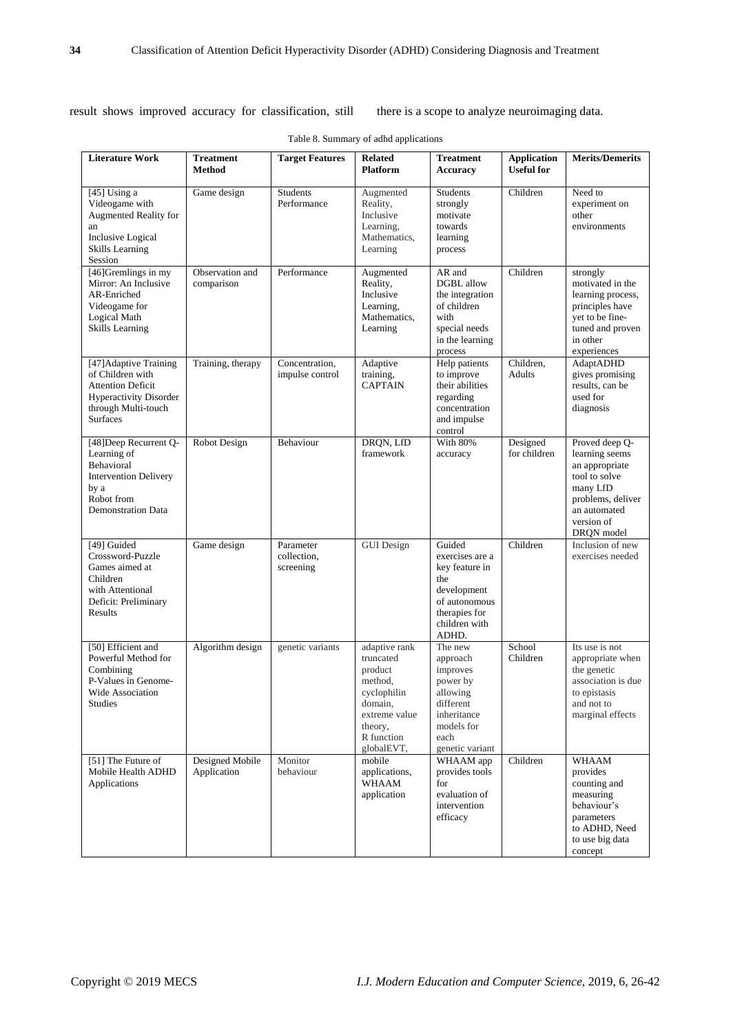result shows improved accuracy for classification, still there is a scope to analyze neuroimaging data.

| <b>Literature Work</b>                                                                                                                            | <b>Treatment</b><br>Method     | <b>Target Features</b>                | <b>Related</b><br><b>Platform</b>                                                                                                  | <b>Treatment</b><br><b>Accuracy</b>                                                                                           | <b>Application</b><br><b>Useful for</b> | <b>Merits/Demerits</b>                                                                                                                           |
|---------------------------------------------------------------------------------------------------------------------------------------------------|--------------------------------|---------------------------------------|------------------------------------------------------------------------------------------------------------------------------------|-------------------------------------------------------------------------------------------------------------------------------|-----------------------------------------|--------------------------------------------------------------------------------------------------------------------------------------------------|
| $[45]$ Using a<br>Videogame with<br>Augmented Reality for<br>an<br><b>Inclusive Logical</b><br><b>Skills Learning</b><br>Session                  | Game design                    | <b>Students</b><br>Performance        | Augmented<br>Reality,<br>Inclusive<br>Learning,<br>Mathematics,<br>Learning                                                        | Students<br>strongly<br>motivate<br>towards<br>learning<br>process                                                            | Children                                | Need to<br>experiment on<br>other<br>environments                                                                                                |
| [46] Gremlings in my<br>Mirror: An Inclusive<br>AR-Enriched<br>Videogame for<br>Logical Math<br>Skills Learning                                   | Observation and<br>comparison  | Performance                           | Augmented<br>Reality,<br>Inclusive<br>Learning.<br>Mathematics,<br>Learning                                                        | AR and<br><b>DGBL</b> allow<br>the integration<br>of children<br>with<br>special needs<br>in the learning<br>process          | Children                                | strongly<br>motivated in the<br>learning process,<br>principles have<br>yet to be fine-<br>tuned and proven<br>in other<br>experiences           |
| [47] Adaptive Training<br>of Children with<br><b>Attention Deficit</b><br><b>Hyperactivity Disorder</b><br>through Multi-touch<br><b>Surfaces</b> | Training, therapy              | Concentration,<br>impulse control     | Adaptive<br>training,<br><b>CAPTAIN</b>                                                                                            | Help patients<br>to improve<br>their abilities<br>regarding<br>concentration<br>and impulse<br>control                        | Children,<br>Adults                     | <b>AdaptADHD</b><br>gives promising<br>results, can be<br>used for<br>diagnosis                                                                  |
| [48] Deep Recurrent Q-<br>Learning of<br>Behavioral<br><b>Intervention Delivery</b><br>by a<br>Robot from<br><b>Demonstration Data</b>            | Robot Design                   | Behaviour                             | DRQN, LfD<br>framework                                                                                                             | With 80%<br>accuracy                                                                                                          | Designed<br>for children                | Proved deep Q-<br>learning seems<br>an appropriate<br>tool to solve<br>many LfD<br>problems, deliver<br>an automated<br>version of<br>DRQN model |
| [49] Guided<br>Crossword-Puzzle<br>Games aimed at<br>Children<br>with Attentional<br>Deficit: Preliminary<br>Results                              | Game design                    | Parameter<br>collection,<br>screening | <b>GUI</b> Design                                                                                                                  | Guided<br>exercises are a<br>key feature in<br>the<br>development<br>of autonomous<br>therapies for<br>children with<br>ADHD. | Children                                | Inclusion of new<br>exercises needed                                                                                                             |
| [50] Efficient and<br>Powerful Method for<br>Combining<br>P-Values in Genome-<br>Wide Association<br><b>Studies</b>                               | Algorithm design               | genetic variants                      | adaptive rank<br>truncated<br>product<br>method,<br>cyclophilin<br>domain,<br>extreme value<br>theory,<br>R function<br>globalEVT, | The new<br>approach<br>improves<br>power by<br>allowing<br>different<br>inheritance<br>models for<br>each<br>genetic variant  | School<br>Children                      | Its use is not<br>appropriate when<br>the genetic<br>association is due<br>to epistasis<br>and not to<br>marginal effects                        |
| [51] The Future of<br>Mobile Health ADHD<br>Applications                                                                                          | Designed Mobile<br>Application | Monitor<br>behaviour                  | mobile<br>applications,<br><b>WHAAM</b><br>application                                                                             | WHAAM app<br>provides tools<br>for<br>evaluation of<br>intervention<br>efficacy                                               | Children                                | <b>WHAAM</b><br>provides<br>counting and<br>measuring<br>behaviour's<br>parameters<br>to ADHD, Need<br>to use big data<br>concept                |

Table 8. Summary of adhd applications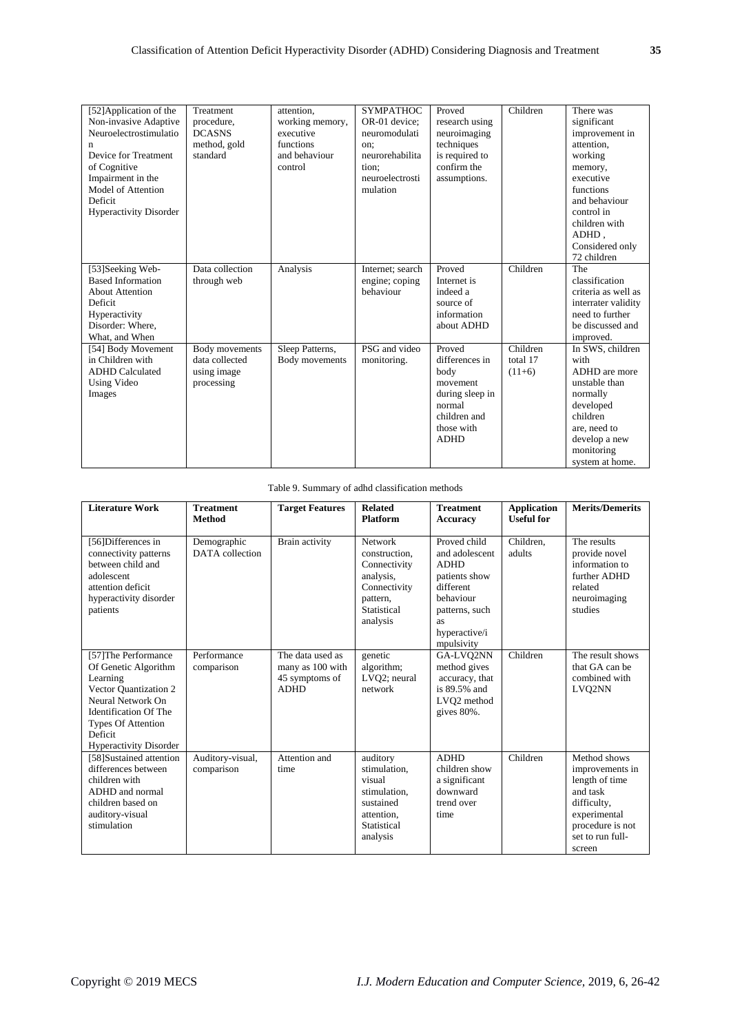| [52] Application of the<br>Non-invasive Adaptive<br>Neuroelectrostimulatio<br>n<br>Device for Treatment<br>of Cognitive<br>Impairment in the<br>Model of Attention<br>Deficit<br><b>Hyperactivity Disorder</b> | Treatment<br>procedure.<br><b>DCASNS</b><br>method, gold<br>standard | attention.<br>working memory,<br>executive<br>functions<br>and behaviour<br>control | <b>SYMPATHOC</b><br>OR-01 device:<br>neuromodulati<br>on:<br>neurorehabilita<br>tion;<br>neuroelectrosti<br>mulation | Proved<br>research using<br>neuroimaging<br>techniques<br>is required to<br>confirm the<br>assumptions.                | Children                                             | There was<br>significant<br>improvement in<br>attention,<br>working<br>memory,<br>executive<br>functions<br>and behaviour<br>control in<br>children with<br>ADHD,<br>Considered only<br>72 children |
|----------------------------------------------------------------------------------------------------------------------------------------------------------------------------------------------------------------|----------------------------------------------------------------------|-------------------------------------------------------------------------------------|----------------------------------------------------------------------------------------------------------------------|------------------------------------------------------------------------------------------------------------------------|------------------------------------------------------|-----------------------------------------------------------------------------------------------------------------------------------------------------------------------------------------------------|
| [53]Seeking Web-<br><b>Based Information</b><br><b>About Attention</b><br>Deficit<br>Hyperactivity<br>Disorder: Where.<br>What, and When                                                                       | Data collection<br>through web                                       | Analysis                                                                            | Internet; search<br>engine; coping<br>behaviour                                                                      | Proved<br>Internet is<br>indeed a<br>source of<br>information<br>about ADHD                                            | Children                                             | The<br>classification<br>criteria as well as<br>interrater validity<br>need to further<br>be discussed and<br>improved.                                                                             |
| [54] Body Movement<br>in Children with<br><b>ADHD</b> Calculated<br>Using Video<br>Images                                                                                                                      | Body movements<br>data collected<br>using image<br>processing        | Sleep Patterns,<br>Body movements                                                   | PSG and video<br>monitoring.                                                                                         | Proved<br>differences in<br>body<br>movement<br>during sleep in<br>normal<br>children and<br>those with<br><b>ADHD</b> | $\overline{\text{Children}}$<br>total 17<br>$(11+6)$ | In SWS, children<br>with<br>ADHD are more<br>unstable than<br>normally<br>developed<br>children<br>are, need to<br>develop a new<br>monitoring<br>system at home.                                   |

## Table 9. Summary of adhd classification methods

| <b>Literature Work</b>                                                                                                                                                                                          | <b>Treatment</b><br><b>Method</b> | <b>Target Features</b>                                                | <b>Related</b><br><b>Platform</b>                                                                                   | <b>Treatment</b><br><b>Accuracy</b>                                                                                                             | <b>Application</b><br><b>Useful</b> for | <b>Merits/Demerits</b>                                                                                                                         |
|-----------------------------------------------------------------------------------------------------------------------------------------------------------------------------------------------------------------|-----------------------------------|-----------------------------------------------------------------------|---------------------------------------------------------------------------------------------------------------------|-------------------------------------------------------------------------------------------------------------------------------------------------|-----------------------------------------|------------------------------------------------------------------------------------------------------------------------------------------------|
| [56]Differences in<br>connectivity patterns<br>between child and<br>adolescent<br>attention deficit<br>hyperactivity disorder<br>patients                                                                       | Demographic<br>DATA collection    | Brain activity                                                        | <b>Network</b><br>construction,<br>Connectivity<br>analysis,<br>Connectivity<br>pattern,<br>Statistical<br>analysis | Proved child<br>and adolescent<br><b>ADHD</b><br>patients show<br>different<br>behaviour<br>patterns, such<br>as<br>hyperactive/i<br>mpulsivity | Children.<br>adults                     | The results<br>provide novel<br>information to<br>further ADHD<br>related<br>neuroimaging<br>studies                                           |
| [57] The Performance<br>Of Genetic Algorithm<br>Learning<br>Vector Quantization 2<br>Neural Network On<br><b>Identification Of The</b><br><b>Types Of Attention</b><br>Deficit<br><b>Hyperactivity Disorder</b> | Performance<br>comparison         | The data used as<br>many as 100 with<br>45 symptoms of<br><b>ADHD</b> | genetic<br>algorithm;<br>LVQ2; neural<br>network                                                                    | GA-LVO2NN<br>method gives<br>accuracy, that<br>is 89.5% and<br>LVO <sub>2</sub> method<br>gives 80%.                                            | Children                                | The result shows<br>that GA can be<br>combined with<br>LVQ2NN                                                                                  |
| [58]Sustained attention<br>differences between<br>children with<br>ADHD and normal<br>children based on<br>auditory-visual<br>stimulation                                                                       | Auditory-visual,<br>comparison    | Attention and<br>time                                                 | auditory<br>stimulation,<br>visual<br>stimulation,<br>sustained<br>attention.<br>Statistical<br>analysis            | <b>ADHD</b><br>children show<br>a significant<br>downward<br>trend over<br>time                                                                 | Children                                | Method shows<br>improvements in<br>length of time<br>and task<br>difficulty,<br>experimental<br>procedure is not<br>set to run full-<br>screen |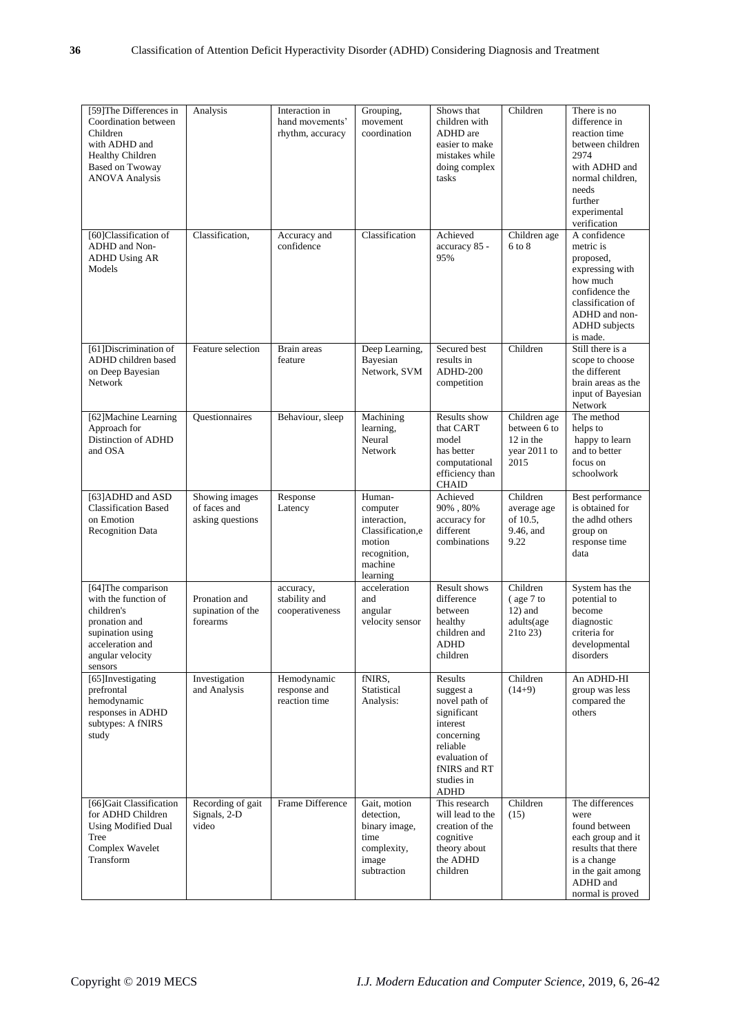| [59] The Differences in<br>Coordination between<br>Children<br>with ADHD and<br><b>Healthy Children</b><br><b>Based on Twoway</b><br><b>ANOVA Analysis</b> | Analysis                                           | Interaction in<br>hand movements'<br>rhythm, accuracy | Grouping,<br>movement<br>coordination                                                                   | Shows that<br>children with<br>ADHD are<br>easier to make<br>mistakes while<br>doing complex<br>tasks                                             | Children                                                            | There is no<br>difference in<br>reaction time<br>between children<br>2974<br>with ADHD and<br>normal children,<br>needs<br>further<br>experimental<br>verification |
|------------------------------------------------------------------------------------------------------------------------------------------------------------|----------------------------------------------------|-------------------------------------------------------|---------------------------------------------------------------------------------------------------------|---------------------------------------------------------------------------------------------------------------------------------------------------|---------------------------------------------------------------------|--------------------------------------------------------------------------------------------------------------------------------------------------------------------|
| [60]Classification of<br>ADHD and Non-<br><b>ADHD Using AR</b><br>Models                                                                                   | Classification,                                    | Accuracy and<br>confidence                            | Classification                                                                                          | Achieved<br>accuracy 85 -<br>95%                                                                                                                  | Children age<br>6 to 8                                              | A confidence<br>metric is<br>proposed,<br>expressing with<br>how much<br>confidence the<br>classification of<br>ADHD and non-<br>ADHD subjects<br>is made.         |
| [61] Discrimination of<br>ADHD children based<br>on Deep Bayesian<br>Network                                                                               | Feature selection                                  | Brain areas<br>feature                                | Deep Learning,<br>Bayesian<br>Network, SVM                                                              | Secured best<br>results in<br>ADHD-200<br>competition                                                                                             | Children                                                            | Still there is a<br>scope to choose<br>the different<br>brain areas as the<br>input of Bayesian<br>Network                                                         |
| [62] Machine Learning<br>Approach for<br>Distinction of ADHD<br>and OSA                                                                                    | Questionnaires                                     | Behaviour, sleep                                      | Machining<br>learning,<br>Neural<br>Network                                                             | Results show<br>that CART<br>model<br>has better<br>computational<br>efficiency than<br><b>CHAID</b>                                              | Children age<br>between 6 to<br>$12$ in the<br>year 2011 to<br>2015 | The method<br>helps to<br>happy to learn<br>and to better<br>focus on<br>schoolwork                                                                                |
| [63] ADHD and ASD<br><b>Classification Based</b><br>on Emotion<br><b>Recognition Data</b>                                                                  | Showing images<br>of faces and<br>asking questions | Response<br>Latency                                   | Human-<br>computer<br>interaction,<br>Classification,e<br>motion<br>recognition,<br>machine<br>learning | Achieved<br>$90\%$ , $80\%$<br>accuracy for<br>different<br>combinations                                                                          | Children<br>average age<br>of 10.5,<br>9.46, and<br>9.22            | Best performance<br>is obtained for<br>the adhd others<br>group on<br>response time<br>data                                                                        |
| [64] The comparison<br>with the function of<br>children's<br>pronation and<br>supination using<br>acceleration and<br>angular velocity<br>sensors          | Pronation and<br>supination of the<br>forearms     | accuracy,<br>stability and<br>cooperativeness         | acceleration<br>and<br>angular<br>velocity sensor                                                       | Result shows<br>difference<br>between<br>healthy<br>children and<br><b>ADHD</b><br>children                                                       | Children<br>$($ age $7$ to<br>$12$ ) and<br>adults(age<br>21to 23)  | System has the<br>potential to<br>become<br>diagnostic<br>criteria for<br>developmental<br>disorders                                                               |
| [65] Investigating<br>prefrontal<br>hemodynamic<br>responses in ADHD<br>subtypes: A fNIRS<br>study                                                         | Investigation<br>and Analysis                      | Hemodynamic<br>response and<br>reaction time          | fNIRS,<br>Statistical<br>Analysis:                                                                      | Results<br>suggest a<br>novel path of<br>significant<br>interest<br>concerning<br>reliable<br>evaluation of<br>fNIRS and RT<br>studies in<br>ADHD | Children<br>$(14+9)$                                                | An ADHD-HI<br>group was less<br>compared the<br>others                                                                                                             |
| [66]Gait Classification<br>for ADHD Children<br><b>Using Modified Dual</b><br>Tree<br>Complex Wavelet<br>Transform                                         | Recording of gait<br>Signals, 2-D<br>video         | Frame Difference                                      | Gait, motion<br>detection,<br>binary image,<br>time<br>complexity,<br>image<br>subtraction              | This research<br>will lead to the<br>creation of the<br>cognitive<br>theory about<br>the ADHD<br>children                                         | Children<br>(15)                                                    | The differences<br>were<br>found between<br>each group and it<br>results that there<br>is a change<br>in the gait among<br>ADHD and<br>normal is proved            |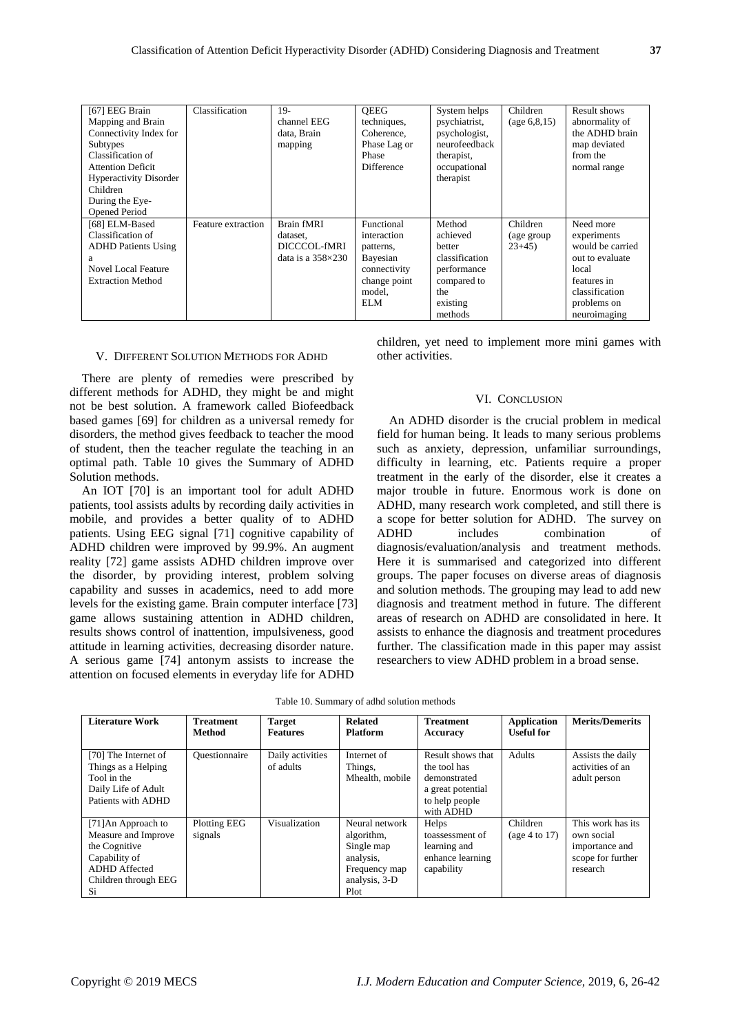| [67] EEG Brain                | Classification     | $19-$                      | <b>OEEG</b>       | System helps   | Children       | Result shows     |
|-------------------------------|--------------------|----------------------------|-------------------|----------------|----------------|------------------|
| Mapping and Brain             |                    | channel EEG                | techniques,       | psychiatrist,  | (age 6, 8, 15) | abnormality of   |
| Connectivity Index for        |                    | data, Brain                | Coherence.        | psychologist,  |                | the ADHD brain   |
| Subtypes                      |                    | mapping                    | Phase Lag or      | neurofeedback  |                | map deviated     |
| Classification of             |                    |                            | Phase             | therapist,     |                | from the         |
| <b>Attention Deficit</b>      |                    |                            | <b>Difference</b> | occupational   |                | normal range     |
| <b>Hyperactivity Disorder</b> |                    |                            |                   | therapist      |                |                  |
| Children                      |                    |                            |                   |                |                |                  |
| During the Eye-               |                    |                            |                   |                |                |                  |
| <b>Opened Period</b>          |                    |                            |                   |                |                |                  |
| [68] ELM-Based                | Feature extraction | Brain fMRI                 | Functional        | Method         | Children       | Need more        |
| Classification of             |                    | dataset.                   | interaction       | achieved       | (age group)    | experiments      |
| <b>ADHD Patients Using</b>    |                    | DICCCOL-fMRI               | patterns,         | better         | $23+45$        | would be carried |
| a                             |                    | data is a $358 \times 230$ | Bayesian          | classification |                | out to evaluate  |
| Novel Local Feature           |                    |                            | connectivity      | performance    |                | local            |
| <b>Extraction Method</b>      |                    |                            | change point      | compared to    |                | features in      |
|                               |                    |                            | model.            | the            |                | classification   |
|                               |                    |                            | ELM               | existing       |                | problems on      |
|                               |                    |                            |                   | methods        |                | neuroimaging     |

#### V. DIFFERENT SOLUTION METHODS FOR ADHD

There are plenty of remedies were prescribed by different methods for ADHD, they might be and might not be best solution. A framework called Biofeedback based games [69] for children as a universal remedy for disorders, the method gives feedback to teacher the mood of student, then the teacher regulate the teaching in an optimal path. Table 10 gives the Summary of ADHD Solution methods.

An IOT [70] is an important tool for adult ADHD patients, tool assists adults by recording daily activities in mobile, and provides a better quality of to ADHD patients. Using EEG signal [71] cognitive capability of ADHD children were improved by 99.9%. An augment reality [72] game assists ADHD children improve over the disorder, by providing interest, problem solving capability and susses in academics, need to add more levels for the existing game. Brain computer interface [73] game allows sustaining attention in ADHD children, results shows control of inattention, impulsiveness, good attitude in learning activities, decreasing disorder nature. A serious game [74] antonym assists to increase the attention on focused elements in everyday life for ADHD

children, yet need to implement more mini games with other activities.

#### VI. CONCLUSION

An ADHD disorder is the crucial problem in medical field for human being. It leads to many serious problems such as anxiety, depression, unfamiliar surroundings, difficulty in learning, etc. Patients require a proper treatment in the early of the disorder, else it creates a major trouble in future. Enormous work is done on ADHD, many research work completed, and still there is a scope for better solution for ADHD. The survey on ADHD includes combination of diagnosis/evaluation/analysis and treatment methods. Here it is summarised and categorized into different groups. The paper focuses on diverse areas of diagnosis and solution methods. The grouping may lead to add new diagnosis and treatment method in future. The different areas of research on ADHD are consolidated in here. It assists to enhance the diagnosis and treatment procedures further. The classification made in this paper may assist researchers to view ADHD problem in a broad sense.

| <b>Literature Work</b>                                                                                                             | <b>Treatment</b><br>Method | <b>Target</b><br><b>Features</b> | <b>Related</b><br><b>Platform</b>                                                                 | <b>Treatment</b><br>Accuracy                                                                          | <b>Application</b><br><b>Useful for</b> | <b>Merits/Demerits</b>                                                             |
|------------------------------------------------------------------------------------------------------------------------------------|----------------------------|----------------------------------|---------------------------------------------------------------------------------------------------|-------------------------------------------------------------------------------------------------------|-----------------------------------------|------------------------------------------------------------------------------------|
| [70] The Internet of<br>Things as a Helping<br>Tool in the<br>Daily Life of Adult<br>Patients with ADHD                            | Ouestionnaire              | Daily activities<br>of adults    | Internet of<br>Things,<br>Mhealth, mobile                                                         | Result shows that<br>the tool has<br>demonstrated<br>a great potential<br>to help people<br>with ADHD | <b>Adults</b>                           | Assists the daily<br>activities of an<br>adult person                              |
| [71] An Approach to<br>Measure and Improve<br>the Cognitive<br>Capability of<br><b>ADHD</b> Affected<br>Children through EEG<br>Si | Plotting EEG<br>signals    | Visualization                    | Neural network<br>algorithm,<br>Single map<br>analysis.<br>Frequency map<br>analysis, 3-D<br>Plot | Helps<br>toassessment of<br>learning and<br>enhance learning<br>capability                            | Children<br>(age 4 to 17)               | This work has its<br>own social<br>importance and<br>scope for further<br>research |

| Table 10. Summary of adhd solution methods |  |  |  |  |  |
|--------------------------------------------|--|--|--|--|--|
|--------------------------------------------|--|--|--|--|--|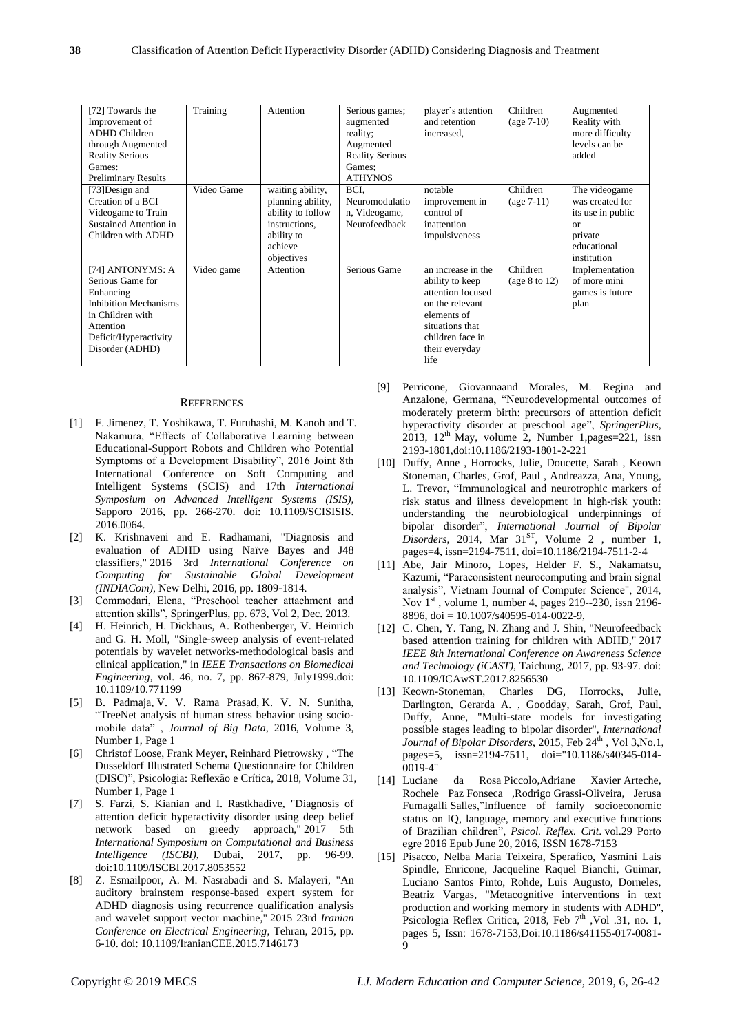| [72] Towards the<br>Improvement of<br>ADHD Children<br>through Augmented<br><b>Reality Serious</b><br>Games:<br><b>Preliminary Results</b>                     | Training   | Attention                                                                                                          | Serious games;<br>augmented<br>reality;<br>Augmented<br><b>Reality Serious</b><br>Games:<br><b>ATHYNOS</b> | player's attention<br>and retention<br>increased.                                                                                                             | Children<br>$(age 7-10)$    | Augmented<br>Reality with<br>more difficulty<br>levels can be<br>added                                          |
|----------------------------------------------------------------------------------------------------------------------------------------------------------------|------------|--------------------------------------------------------------------------------------------------------------------|------------------------------------------------------------------------------------------------------------|---------------------------------------------------------------------------------------------------------------------------------------------------------------|-----------------------------|-----------------------------------------------------------------------------------------------------------------|
| [73] Design and<br>Creation of a BCI<br>Videogame to Train<br>Sustained Attention in<br>Children with ADHD                                                     | Video Game | waiting ability,<br>planning ability,<br>ability to follow<br>instructions.<br>ability to<br>achieve<br>objectives | BCI.<br>Neuromodulatio<br>n, Videogame,<br>Neurofeedback                                                   | notable<br>improvement in<br>control of<br>inattention<br>impulsiveness                                                                                       | Children<br>$(age 7-11)$    | The videogame<br>was created for<br>its use in public<br><sub>or</sub><br>private<br>educational<br>institution |
| [74] ANTONYMS: A<br>Serious Game for<br>Enhancing<br><b>Inhibition Mechanisms</b><br>in Children with<br>Attention<br>Deficit/Hyperactivity<br>Disorder (ADHD) | Video game | Attention                                                                                                          | Serious Game                                                                                               | an increase in the<br>ability to keep<br>attention focused<br>on the relevant<br>elements of<br>situations that<br>children face in<br>their everyday<br>life | Children<br>(age $8$ to 12) | Implementation<br>of more mini<br>games is future<br>plan                                                       |

#### **REFERENCES**

- [1] F. Jimenez, T. Yoshikawa, T. Furuhashi, M. Kanoh and T. Nakamura, "Effects of Collaborative Learning between Educational-Support Robots and Children who Potential Symptoms of a Development Disability", 2016 Joint 8th International Conference on Soft Computing and Intelligent Systems (SCIS) and 17th *International Symposium on Advanced Intelligent Systems (ISIS),* Sapporo 2016, pp. 266-270. doi: 10.1109/SCISISIS. 2016.0064.
- [2] K. Krishnaveni and E. Radhamani, "Diagnosis and evaluation of ADHD using Naïve Bayes and J48 classifiers," 2016 3rd *International Conference on Computing for Sustainable Global Development (INDIACom)*, New Delhi, 2016, pp. 1809-1814.
- [3] Commodari, Elena, "Preschool teacher attachment and attention skills", SpringerPlus, pp. 673, Vol 2, Dec. 2013.
- [4] H. Heinrich, H. Dickhaus, A. Rothenberger, V. Heinrich and G. H. Moll, "Single-sweep analysis of event-related potentials by wavelet networks-methodological basis and clinical application," in *IEEE Transactions on Biomedical Engineering*, vol. 46, no. 7, pp. 867-879, July1999.doi: 10.1109/10.771199
- [5] B. Padmaja, V. V. Rama Prasad, K. V. N. Sunitha, "TreeNet analysis of human stress behavior using sociomobile data" , *Journal of Big Data*, 2016, Volume 3, Number 1, Page 1
- [6] Christof Loose, Frank Meyer, Reinhard Pietrowsky , "The Dusseldorf Illustrated Schema Questionnaire for Children (DISC)", Psicologia: Reflexão e Crítica, 2018, Volume 31, Number 1, Page 1
- [7] S. Farzi, S. Kianian and I. Rastkhadive, "Diagnosis of attention deficit hyperactivity disorder using deep belief network based on greedy approach," 2017 5th *International Symposium on Computational and Business Intelligence (ISCBI)*, Dubai, 2017, pp. 96-99. doi:10.1109/ISCBI.2017.8053552
- [8] Z. Esmailpoor, A. M. Nasrabadi and S. Malayeri, "An auditory brainstem response-based expert system for ADHD diagnosis using recurrence qualification analysis and wavelet support vector machine," 2015 23rd *Iranian Conference on Electrical Engineering*, Tehran, 2015, pp. 6-10. doi: 10.1109/IranianCEE.2015.7146173
- [9] Perricone, Giovannaand Morales, M. Regina and Anzalone, Germana, "Neurodevelopmental outcomes of moderately preterm birth: precursors of attention deficit hyperactivity disorder at preschool age", *SpringerPlus*,  $2013$ ,  $12<sup>th</sup>$  May, volume 2, Number 1, pages=221, issn 2193-1801,doi:10.1186/2193-1801-2-221
- [10] Duffy, Anne , Horrocks, Julie, Doucette, Sarah , Keown Stoneman, Charles, Grof, Paul , Andreazza, Ana, Young, L. Trevor, "Immunological and neurotrophic markers of risk status and illness development in high-risk youth: understanding the neurobiological underpinnings of bipolar disorder", *International Journal of Bipolar Disorders*, 2014, Mar 31<sup>ST</sup>, Volume 2, number 1, pages=4, issn=2194-7511, doi=10.1186/2194-7511-2-4
- [11] Abe, Jair Minoro, Lopes, Helder F. S., Nakamatsu, Kazumi, "Paraconsistent neurocomputing and brain signal analysis", Vietnam Journal of Computer Science", 2014, Nov  $1<sup>st</sup>$ , volume 1, number 4, pages 219--230, issn 2196-8896, doi = 10.1007/s40595-014-0022-9,
- [12] C. Chen, Y. Tang, N. Zhang and J. Shin, "Neurofeedback based attention training for children with ADHD," 2017 *IEEE 8th International Conference on Awareness Science and Technology (iCAST)*, Taichung, 2017, pp. 93-97. doi: 10.1109/ICAwST.2017.8256530
- [13] Keown-Stoneman, Charles DG, Horrocks, Julie, Darlington, Gerarda A. , Goodday, Sarah, Grof, Paul, Duffy, Anne, "Multi-state models for investigating possible stages leading to bipolar disorder", *International*  Journal of Bipolar Disorders, 2015, Feb 24<sup>th</sup>, Vol 3, No.1, pages=5, issn=2194-7511, doi="10.1186/s40345-014- 0019-4"
- [14] Luciane da Rosa Piccolo,Adriane Xavier Arteche, Rochele Paz Fonseca ,Rodrigo Grassi-Oliveira, Jerusa Fumagalli Salles,"Influence of family socioeconomic status on IQ, language, memory and executive functions of Brazilian children", *Psicol. Reflex. Crit*. vol.29 Porto egre 2016 Epub June 20, 2016, ISSN 1678-7153
- [15] Pisacco, Nelba Maria Teixeira, Sperafico, Yasmini Lais Spindle, Enricone, Jacqueline Raquel Bianchi, Guimar, Luciano Santos Pinto, Rohde, Luis Augusto, Dorneles, Beatriz Vargas, "Metacognitive interventions in text production and working memory in students with ADHD", Psicologia Reflex Critica, 2018, Feb  $7<sup>th</sup>$ , Vol .31, no. 1, pages 5, Issn: 1678-7153,Doi:10.1186/s41155-017-0081-  $\mathbf Q$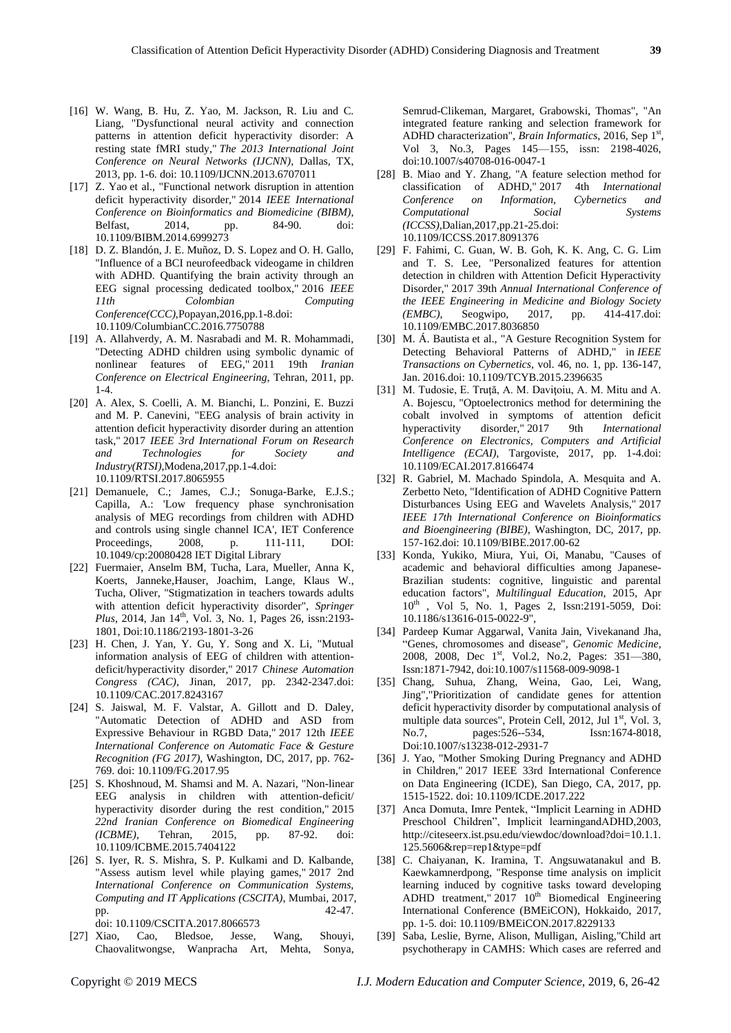- [16] W. Wang, B. Hu, Z. Yao, M. Jackson, R. Liu and C. Liang, "Dysfunctional neural activity and connection patterns in attention deficit hyperactivity disorder: A resting state fMRI study," *The 2013 International Joint Conference on Neural Networks (IJCNN)*, Dallas, TX, 2013, pp. 1-6. doi: 10.1109/IJCNN.2013.6707011
- [17] Z. Yao et al., "Functional network disruption in attention deficit hyperactivity disorder," 2014 *IEEE International Conference on Bioinformatics and Biomedicine (BIBM)*, Belfast, 2014, pp. 84-90. doi: 10.1109/BIBM.2014.6999273
- [18] D. Z. Bland ón, J. E. Muñoz, D. S. Lopez and O. H. Gallo, "Influence of a BCI neurofeedback videogame in children with ADHD. Quantifying the brain activity through an EEG signal processing dedicated toolbox," 2016 *IEEE 11th Colombian Computing Conference(CCC)*,Popayan,2016,pp.1-8.doi: 10.1109/ColumbianCC.2016.7750788
- [19] A. Allahverdy, A. M. Nasrabadi and M. R. Mohammadi, "Detecting ADHD children using symbolic dynamic of nonlinear features of EEG," 2011 19th *Iranian Conference on Electrical Engineering*, Tehran, 2011, pp. 1-4.
- [20] A. Alex, S. Coelli, A. M. Bianchi, L. Ponzini, E. Buzzi and M. P. Canevini, "EEG analysis of brain activity in attention deficit hyperactivity disorder during an attention task," 2017 *IEEE 3rd International Forum on Research and Technologies for Society and Industry(RTSI)*,Modena,2017,pp.1-4.doi: 10.1109/RTSI.2017.8065955
- [21] Demanuele, C.; James, C.J.; Sonuga-Barke, E.J.S.; Capilla, A.: 'Low frequency phase synchronisation analysis of MEG recordings from children with ADHD and controls using single channel ICA', IET Conference Proceedings, 2008, p. 111-111, DOI: 10.1049/cp:20080428 IET Digital Library
- [22] Fuermaier, Anselm BM, Tucha, Lara, Mueller, Anna K, Koerts, Janneke,Hauser, Joachim, Lange, Klaus W., Tucha, Oliver, "Stigmatization in teachers towards adults with attention deficit hyperactivity disorder", *Springer Plus*, 2014, Jan 14<sup>th</sup>, Vol. 3, No. 1, Pages 26, issn:2193-1801, Doi:10.1186/2193-1801-3-26
- [23] H. Chen, J. Yan, Y. Gu, Y. Song and X. Li, "Mutual information analysis of EEG of children with attentiondeficit/hyperactivity disorder," 2017 *Chinese Automation Congress (CAC)*, Jinan, 2017, pp. 2342-2347.doi: 10.1109/CAC.2017.8243167
- [24] S. Jaiswal, M. F. Valstar, A. Gillott and D. Daley, "Automatic Detection of ADHD and ASD from Expressive Behaviour in RGBD Data," 2017 12th *IEEE International Conference on Automatic Face & Gesture Recognition (FG 2017)*, Washington, DC, 2017, pp. 762- 769. doi: 10.1109/FG.2017.95
- [25] S. Khoshnoud, M. Shamsi and M. A. Nazari, "Non-linear EEG analysis in children with attention-deficit/ hyperactivity disorder during the rest condition," 2015 *22nd Iranian Conference on Biomedical Engineering (ICBME)*, Tehran, 2015, pp. 87-92. doi: 10.1109/ICBME.2015.7404122
- [26] S. Iyer, R. S. Mishra, S. P. Kulkami and D. Kalbande, "Assess autism level while playing games," 2017 2nd *International Conference on Communication Systems, Computing and IT Applications (CSCITA)*, Mumbai, 2017, pp.  $42-47$ .

doi: 10.1109/CSCITA.2017.8066573

[27] Xiao, Cao, Bledsoe, Jesse, Wang, Shouyi, Chaovalitwongse, Wanpracha Art, Mehta, Sonya,

Semrud-Clikeman, Margaret, Grabowski, Thomas", "An integrated feature ranking and selection framework for ADHD characterization", *Brain Informatics*, 2016, Sep 1<sup>st</sup>, Vol 3, No.3, Pages 145—155, issn: 2198-4026, doi:10.1007/s40708-016-0047-1

- [28] B. Miao and Y. Zhang, "A feature selection method for classification of ADHD," 2017 4th *International Conference on Information, Cybernetics and Computational Social Systems (ICCSS)*,Dalian,2017,pp.21-25.doi: 10.1109/ICCSS.2017.8091376
- [29] F. Fahimi, C. Guan, W. B. Goh, K. K. Ang, C. G. Lim and T. S. Lee, "Personalized features for attention detection in children with Attention Deficit Hyperactivity Disorder," 2017 39th *Annual International Conference of the IEEE Engineering in Medicine and Biology Society (EMBC)*, Seogwipo, 2017, pp. 414-417.doi: 10.1109/EMBC.2017.8036850
- [30] M. Á. Bautista et al., "A Gesture Recognition System for Detecting Behavioral Patterns of ADHD," in *IEEE Transactions on Cybernetics*, vol. 46, no. 1, pp. 136-147, Jan. 2016.doi: 10.1109/TCYB.2015.2396635
- [31] M. Tudosie, E. Truţă, A. M. Daviţoiu, A. M. Mitu and A. A. Bojescu, "Optoelectronics method for determining the cobalt involved in symptoms of attention deficit<br>hyperactivity disorder." 2017 9th International hyperactivity disorder," 2017 9th *International Conference on Electronics, Computers and Artificial Intelligence (ECAI)*, Targoviste, 2017, pp. 1-4.doi: 10.1109/ECAI.2017.8166474
- [32] R. Gabriel, M. Machado Spindola, A. Mesquita and A. Zerbetto Neto, "Identification of ADHD Cognitive Pattern Disturbances Using EEG and Wavelets Analysis," 2017 *IEEE 17th International Conference on Bioinformatics and Bioengineering (BIBE)*, Washington, DC, 2017, pp. 157-162.doi: 10.1109/BIBE.2017.00-62
- [33] Konda, Yukiko, Miura, Yui, Oi, Manabu, "Causes of academic and behavioral difficulties among Japanese-Brazilian students: cognitive, linguistic and parental education factors", *Multilingual Education*, 2015, Apr 10<sup>th</sup>, Vol 5, No. 1, Pages 2, Issn:2191-5059, Doi: 10.1186/s13616-015-0022-9",
- [34] Pardeep Kumar Aggarwal, Vanita Jain, Vivekanand Jha, "Genes, chromosomes and disease", *Genomic Medicine,* 2008, 2008, Dec 1<sup>st</sup>, Vol.2, No.2, Pages: 351–380, Issn:1871-7942, doi:10.1007/s11568-009-9098-1
- [35] Chang, Suhua, Zhang, Weina, Gao, Lei, Wang, Jing","Prioritization of candidate genes for attention deficit hyperactivity disorder by computational analysis of multiple data sources", Protein Cell, 2012, Jul  $1<sup>st</sup>$ , Vol. 3, No.7, pages:526--534, Issn:1674-8018, Doi:10.1007/s13238-012-2931-7
- [36] J. Yao, "Mother Smoking During Pregnancy and ADHD in Children," 2017 IEEE 33rd International Conference on Data Engineering (ICDE), San Diego, CA, 2017, pp. 1515-1522. doi: 10.1109/ICDE.2017.222
- [37] Anca Domuta, Imre Pentek, "Implicit Learning in ADHD Preschool Children", Implicit learningandADHD,2003, http://citeseerx.ist.psu.edu/viewdoc/download?doi=10.1.1. 125.5606&rep=rep1&type=pdf
- [38] C. Chaiyanan, K. Iramina, T. Angsuwatanakul and B. Kaewkamnerdpong, "Response time analysis on implicit learning induced by cognitive tasks toward developing ADHD treatment,"  $2017 \text{ } 10^{\text{th}}$  Biomedical Engineering International Conference (BMEiCON), Hokkaido, 2017, pp. 1-5. doi: 10.1109/BMEiCON.2017.8229133
- [39] Saba, Leslie, Byrne, Alison, Mulligan, Aisling,"Child art psychotherapy in CAMHS: Which cases are referred and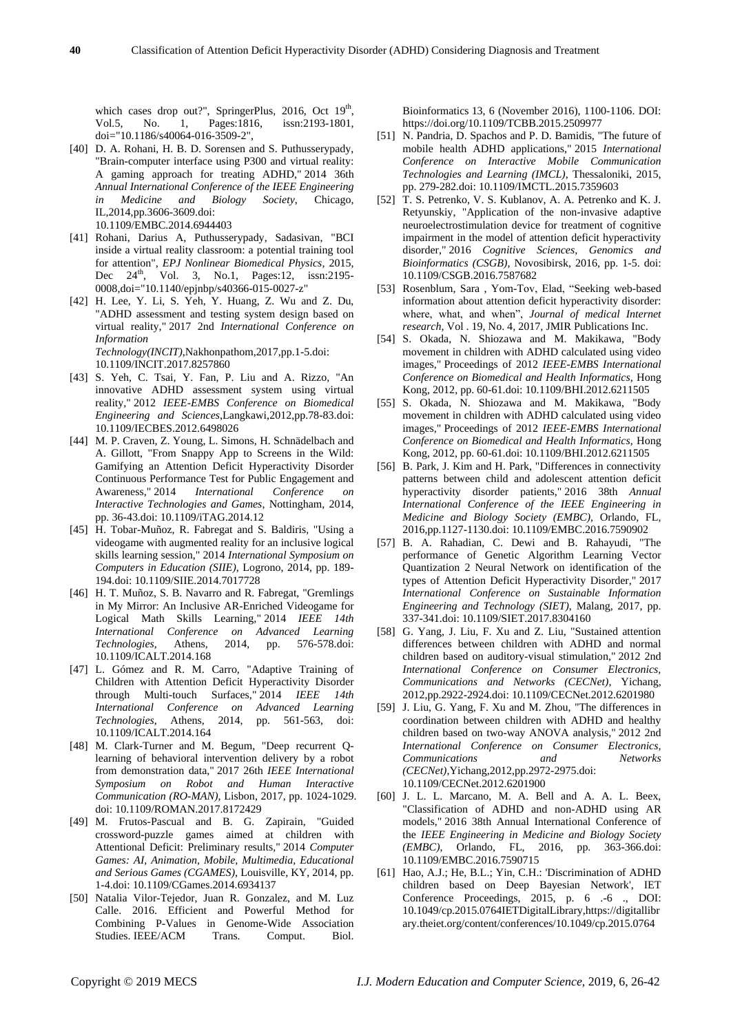which cases drop out?", SpringerPlus, 2016, Oct  $19<sup>th</sup>$ , Vol.5, No. 1, Pages:1816, issn:2193-1801, doi="10.1186/s40064-016-3509-2",

- [40] D. A. Rohani, H. B. D. Sorensen and S. Puthusserypady, "Brain-computer interface using P300 and virtual reality: A gaming approach for treating ADHD," 2014 36th *Annual International Conference of the IEEE Engineering in Medicine and Biology Society*, Chicago, IL,2014,pp.3606-3609.doi: 10.1109/EMBC.2014.6944403
- [41] Rohani, Darius A, Puthusserypady, Sadasivan, "BCI inside a virtual reality classroom: a potential training tool for attention", *EPJ Nonlinear Biomedical Physics*, 2015, Dec 24<sup>th</sup>, Vol. 3, No.1, Pages:12, issn:2195-0008,doi="10.1140/epjnbp/s40366-015-0027-z"
- [42] H. Lee, Y. Li, S. Yeh, Y. Huang, Z. Wu and Z. Du, "ADHD assessment and testing system design based on virtual reality," 2017 2nd *International Conference on Information Technology(INCIT)*,Nakhonpathom,2017,pp.1-5.doi: 10.1109/INCIT.2017.8257860
- [43] S. Yeh, C. Tsai, Y. Fan, P. Liu and A. Rizzo, "An innovative ADHD assessment system using virtual reality," 2012 *IEEE-EMBS Conference on Biomedical Engineering and Sciences*,Langkawi,2012,pp.78-83.doi: 10.1109/IECBES.2012.6498026
- [44] M. P. Craven, Z. Young, L. Simons, H. Schnädelbach and A. Gillott, "From Snappy App to Screens in the Wild: Gamifying an Attention Deficit Hyperactivity Disorder Continuous Performance Test for Public Engagement and Awareness," 2014 *International Conference on Interactive Technologies and Games*, Nottingham, 2014, pp. 36-43.doi: 10.1109/iTAG.2014.12
- [45] H. Tobar-Muñoz, R. Fabregat and S. Baldiris, "Using a videogame with augmented reality for an inclusive logical skills learning session," 2014 *International Symposium on Computers in Education (SIIE)*, Logrono, 2014, pp. 189- 194.doi: 10.1109/SIIE.2014.7017728
- [46] H. T. Muñoz, S. B. Navarro and R. Fabregat, "Gremlings in My Mirror: An Inclusive AR-Enriched Videogame for Logical Math Skills Learning," 2014 *IEEE 14th International Conference on Advanced Learning Technologies*, Athens, 2014, pp. 576-578.doi: 10.1109/ICALT.2014.168
- [47] L. Gómez and R. M. Carro, "Adaptive Training of Children with Attention Deficit Hyperactivity Disorder through Multi-touch Surfaces," 2014 *IEEE 14th International Conference on Advanced Learning Technologies*, Athens, 2014, pp. 561-563, doi: 10.1109/ICALT.2014.164
- [48] M. Clark-Turner and M. Begum, "Deep recurrent Qlearning of behavioral intervention delivery by a robot from demonstration data," 2017 26th *IEEE International Symposium on Robot and Human Interactive Communication (RO-MAN)*, Lisbon, 2017, pp. 1024-1029. doi: 10.1109/ROMAN.2017.8172429
- [49] M. Frutos-Pascual and B. G. Zapirain, "Guided crossword-puzzle games aimed at children with Attentional Deficit: Preliminary results," 2014 *Computer Games: AI, Animation, Mobile, Multimedia, Educational and Serious Games (CGAMES)*, Louisville, KY, 2014, pp. 1-4.doi: 10.1109/CGames.2014.6934137
- [50] Natalia Vilor-Tejedor, Juan R. Gonzalez, and M. Luz Calle. 2016. Efficient and Powerful Method for Combining P-Values in Genome-Wide Association Studies. IEEE/ACM Trans. Comput. Biol.

Bioinformatics 13, 6 (November 2016), 1100-1106. DOI: https://doi.org/10.1109/TCBB.2015.2509977

- [51] N. Pandria, D. Spachos and P. D. Bamidis, "The future of mobile health ADHD applications," 2015 *International Conference on Interactive Mobile Communication Technologies and Learning (IMCL)*, Thessaloniki, 2015, pp. 279-282.doi: 10.1109/IMCTL.2015.7359603
- [52] T. S. Petrenko, V. S. Kublanov, A. A. Petrenko and K. J. Retyunskiy, "Application of the non-invasive adaptive neuroelectrostimulation device for treatment of cognitive impairment in the model of attention deficit hyperactivity disorder," 2016 *Cognitive Sciences, Genomics and Bioinformatics (CSGB)*, Novosibirsk, 2016, pp. 1-5. doi: 10.1109/CSGB.2016.7587682
- [53] Rosenblum, Sara , Yom-Tov, Elad, "Seeking web-based information about attention deficit hyperactivity disorder: where, what, and when", *Journal of medical Internet research*, Vol . 19, No. 4, 2017, JMIR Publications Inc.
- [54] S. Okada, N. Shiozawa and M. Makikawa, "Body movement in children with ADHD calculated using video images," Proceedings of 2012 *IEEE-EMBS International Conference on Biomedical and Health Informatics*, Hong Kong, 2012, pp. 60-61.doi: 10.1109/BHI.2012.6211505
- [55] S. Okada, N. Shiozawa and M. Makikawa, "Body movement in children with ADHD calculated using video images," Proceedings of 2012 *IEEE-EMBS International Conference on Biomedical and Health Informatics*, Hong Kong, 2012, pp. 60-61.doi: 10.1109/BHI.2012.6211505
- [56] B. Park, J. Kim and H. Park, "Differences in connectivity patterns between child and adolescent attention deficit hyperactivity disorder patients," 2016 38th *Annual International Conference of the IEEE Engineering in Medicine and Biology Society (EMBC)*, Orlando, FL, 2016,pp.1127-1130.doi: 10.1109/EMBC.2016.7590902
- [57] B. A. Rahadian, C. Dewi and B. Rahayudi, "The performance of Genetic Algorithm Learning Vector Quantization 2 Neural Network on identification of the types of Attention Deficit Hyperactivity Disorder," 2017 *International Conference on Sustainable Information Engineering and Technology (SIET)*, Malang, 2017, pp. 337-341.doi: 10.1109/SIET.2017.8304160
- [58] G. Yang, J. Liu, F. Xu and Z. Liu, "Sustained attention differences between children with ADHD and normal children based on auditory-visual stimulation," 2012 2nd *International Conference on Consumer Electronics, Communications and Networks (CECNet)*, Yichang, 2012,pp.2922-2924.doi: 10.1109/CECNet.2012.6201980
- [59] J. Liu, G. Yang, F. Xu and M. Zhou, "The differences in coordination between children with ADHD and healthy children based on two-way ANOVA analysis," 2012 2nd *International Conference on Consumer Electronics, Communications and Networks (CECNet)*,Yichang,2012,pp.2972-2975.doi: 10.1109/CECNet.2012.6201900
- [60] J. L. L. Marcano, M. A. Bell and A. A. L. Beex, "Classification of ADHD and non-ADHD using AR models," 2016 38th Annual International Conference of the *IEEE Engineering in Medicine and Biology Society (EMBC)*, Orlando, FL, 2016, pp. 363-366.doi: 10.1109/EMBC.2016.7590715
- [61] Hao, A.J.; He, B.L.; Yin, C.H.: 'Discrimination of ADHD children based on Deep Bayesian Network', IET Conference Proceedings, 2015, p. 6 .-6 ., DOI: 10.1049/cp.2015.0764IETDigitalLibrary,https://digitallibr ary.theiet.org/content/conferences/10.1049/cp.2015.0764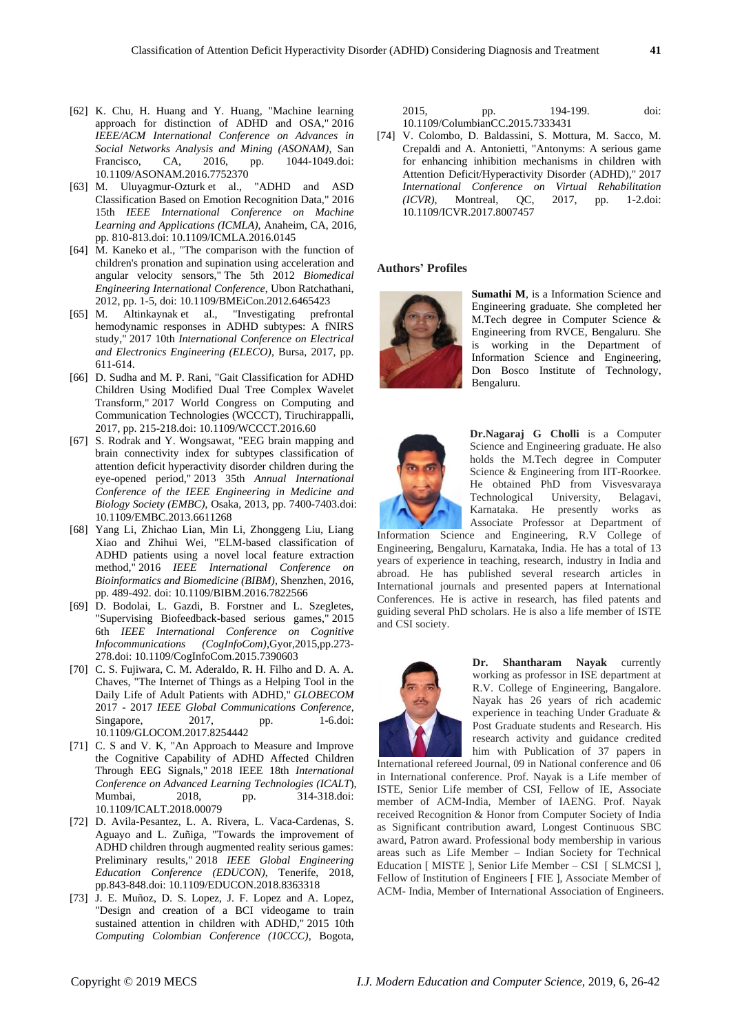- [62] K. Chu, H. Huang and Y. Huang, "Machine learning approach for distinction of ADHD and OSA," 2016 *IEEE/ACM International Conference on Advances in Social Networks Analysis and Mining (ASONAM)*, San Francisco, CA, 2016, pp. 1044-1049.doi: 10.1109/ASONAM.2016.7752370
- [63] M. Uluyagmur-Ozturk et al., "ADHD and ASD Classification Based on Emotion Recognition Data," 2016 15th *IEEE International Conference on Machine Learning and Applications (ICMLA)*, Anaheim, CA, 2016, pp. 810-813.doi: 10.1109/ICMLA.2016.0145
- [64] M. Kaneko et al., "The comparison with the function of children's pronation and supination using acceleration and angular velocity sensors," The 5th 2012 *Biomedical Engineering International Conference*, Ubon Ratchathani, 2012, pp. 1-5, doi: 10.1109/BMEiCon.2012.6465423
- [65] M. Altinkaynak et al., "Investigating prefrontal hemodynamic responses in ADHD subtypes: A fNIRS study," 2017 10th *International Conference on Electrical and Electronics Engineering (ELECO)*, Bursa, 2017, pp. 611-614.
- [66] D. Sudha and M. P. Rani, "Gait Classification for ADHD Children Using Modified Dual Tree Complex Wavelet Transform," 2017 World Congress on Computing and Communication Technologies (WCCCT), Tiruchirappalli, 2017, pp. 215-218.doi: 10.1109/WCCCT.2016.60
- [67] S. Rodrak and Y. Wongsawat, "EEG brain mapping and brain connectivity index for subtypes classification of attention deficit hyperactivity disorder children during the eye-opened period," 2013 35th *Annual International Conference of the IEEE Engineering in Medicine and Biology Society (EMBC)*, Osaka, 2013, pp. 7400-7403.doi: 10.1109/EMBC.2013.6611268
- [68] Yang Li, Zhichao Lian, Min Li, Zhonggeng Liu, Liang Xiao and Zhihui Wei, "ELM-based classification of ADHD patients using a novel local feature extraction method," 2016 *IEEE International Conference on Bioinformatics and Biomedicine (BIBM)*, Shenzhen, 2016, pp. 489-492. doi: 10.1109/BIBM.2016.7822566
- [69] D. Bodolai, L. Gazdi, B. Forstner and L. Szegletes, "Supervising Biofeedback-based serious games," 2015 6th *IEEE International Conference on Cognitive Infocommunications (CogInfoCom)*,Gyor,2015,pp.273- 278.doi: 10.1109/CogInfoCom.2015.7390603
- [70] C. S. Fujiwara, C. M. Aderaldo, R. H. Filho and D. A. A. Chaves, "The Internet of Things as a Helping Tool in the Daily Life of Adult Patients with ADHD," *GLOBECOM*  2017 - 2017 *IEEE Global Communications Conference*, Singapore, 2017, pp. 1-6.doi: 10.1109/GLOCOM.2017.8254442
- [71] C. S and V. K, "An Approach to Measure and Improve the Cognitive Capability of ADHD Affected Children Through EEG Signals," 2018 IEEE 18th *International Conference on Advanced Learning Technologies (ICALT*), Mumbai, 2018, pp. 314-318.doi: 10.1109/ICALT.2018.00079
- [72] D. Avila-Pesantez, L. A. Rivera, L. Vaca-Cardenas, S. Aguayo and L. Zuñiga, "Towards the improvement of ADHD children through augmented reality serious games: Preliminary results," 2018 *IEEE Global Engineering Education Conference (EDUCON)*, Tenerife, 2018, pp.843-848.doi: 10.1109/EDUCON.2018.8363318
- [73] J. E. Muñoz, D. S. Lopez, J. F. Lopez and A. Lopez, "Design and creation of a BCI videogame to train sustained attention in children with ADHD," 2015 10th *Computing Colombian Conference (10CCC)*, Bogota,

2015, pp. 194-199. doi: 10.1109/ColumbianCC.2015.7333431

[74] V. Colombo, D. Baldassini, S. Mottura, M. Sacco, M. Crepaldi and A. Antonietti, "Antonyms: A serious game for enhancing inhibition mechanisms in children with Attention Deficit/Hyperactivity Disorder (ADHD)," 2017 *International Conference on Virtual Rehabilitation (ICVR)*, Montreal, QC, 2017, pp. 1-2.doi: 10.1109/ICVR.2017.8007457

#### **Authors' Profiles**



**Sumathi M**, is a Information Science and Engineering graduate. She completed her M.Tech degree in Computer Science & Engineering from RVCE, Bengaluru. She is working in the Department of Information Science and Engineering, Don Bosco Institute of Technology, Bengaluru.



**Dr.Nagaraj G Cholli** is a Computer Science and Engineering graduate. He also holds the M.Tech degree in Computer Science & Engineering from IIT-Roorkee. He obtained PhD from Visvesvaraya Technological University*,* Belagavi, Karnataka. He presently works as Associate Professor at Department of

Information Science and Engineering, R.V College of Engineering, Bengaluru, Karnataka, India. He has a total of 13 years of experience in teaching, research, industry in India and abroad. He has published several research articles in International journals and presented papers at International Conferences. He is active in research, has filed patents and guiding several PhD scholars. He is also a life member of ISTE and CSI society.



**Dr. Shantharam Nayak** currently working as professor in ISE department at R.V. College of Engineering, Bangalore. Nayak has 26 years of rich academic experience in teaching Under Graduate & Post Graduate students and Research. His research activity and guidance credited him with Publication of 37 papers in

International refereed Journal, 09 in National conference and 06 in International conference. Prof. Nayak is a Life member of ISTE, Senior Life member of CSI, Fellow of IE, Associate member of ACM-India, Member of IAENG. Prof. Nayak received Recognition & Honor from Computer Society of India as Significant contribution award, Longest Continuous SBC award, Patron award. Professional body membership in various areas such as Life Member – Indian Society for Technical Education [ MISTE ], Senior Life Member – CSI [ SLMCSI ], Fellow of Institution of Engineers [ FIE ], Associate Member of ACM- India, Member of International Association of Engineers.